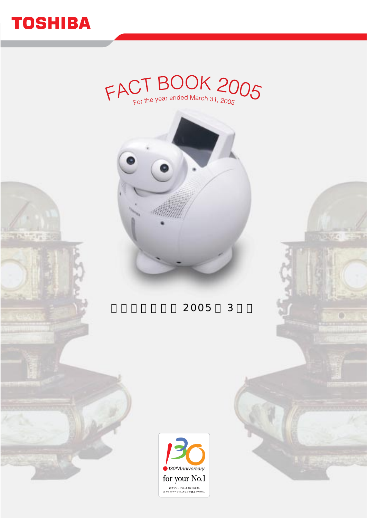

**BASE TE** 

# $FACTBOOK2OO5$ <sub>For the year ended March 31, 2005</sub>



2005 3



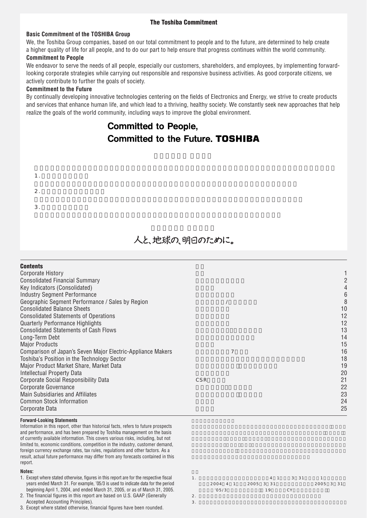#### **The Toshiba Commitment**

#### **Basic Commitment of the TOSHIBA Group**

We, the Toshiba Group companies, based on our total commitment to people and to the future, are determined to help create a higher quality of life for all people, and to do our part to help ensure that progress continues within the world community.

#### **Commitment to People**

We endeavor to serve the needs of all people, especially our customers, shareholders, and employees, by implementing forwardlooking corporate strategies while carrying out responsible and responsive business activities. As good corporate citizens, we actively contribute to further the goals of society.

#### **Commitment to the Future**

By continually developing innovative technologies centering on the fields of Electronics and Energy, we strive to create products realize the goals of the world community, including ways to improve the global environment. and services that enhance human life, and which lead to a thriving, healthy society. We constantly seek new approaches that help

## Committed to People, **Committed to the Future. TOSHIBA**

# 1.  $\blacksquare$ 2.  $\blacksquare$  $3.$

## 人と、地球の、明日のために。

| <b>Contents</b>                                             |     |    |
|-------------------------------------------------------------|-----|----|
| Corporate History                                           |     |    |
| <b>Consolidated Financial Summary</b>                       |     |    |
| Key Indicators (Consolidated)                               |     |    |
| <b>Industry Segment Performance</b>                         |     | 6  |
| Geographic Segment Performance / Sales by Region            |     |    |
| <b>Consolidated Balance Sheets</b>                          |     | 10 |
| <b>Consolidated Statements of Operations</b>                |     | 12 |
| <b>Quarterly Performance Highlights</b>                     |     | 12 |
| <b>Consolidated Statements of Cash Flows</b>                |     | 13 |
| Long-Term Debt                                              |     | 14 |
| <b>Major Products</b>                                       |     | 15 |
| Comparison of Japan's Seven Major Electric-Appliance Makers | 7   | 16 |
| Toshiba's Position in the Technology Sector                 |     | 18 |
| Major Product Market Share, Market Data                     |     | 19 |
| Intellectual Property Data                                  |     | 20 |
| Corporate Social Responsibility Data                        | CSR | 21 |
| Corporate Governance                                        |     | 22 |
| Main Subsidiaries and Affiliates                            |     | 23 |
| <b>Common Stock Information</b>                             |     | 24 |
| Corporate Data                                              |     | 25 |
|                                                             |     |    |

#### **Forward-Looking Statements**

Information in this report, other than historical facts, refers to future prospects and performance, and has been prepared by Toshiba management on the basis of currently available information. This covers various risks, including, but not limited to, economic conditions, competition in the industry, customer demand, foreign currency exchange rates, tax rules, regulations and other factors. As a result, actual future performance may differ from any forecasts contained in this report.

#### **Notes:**

- 1. Except where stated otherwise, figures in this report are for the respective fiscal years ended March 31. For example, '05/3 is used to indicate data for the period beginning April 1, 2004, and ended March 31, 2005, or as of March 31, 2005.
- 2. The financial figures in this report are based on U.S. GAAP (Generally Accepted Accounting Principles).
- 3. Except where stated otherwise, financial figures have been rounded.

|                    |  |    | 4 1 3 3 1 |           |  |  |
|--------------------|--|----|-----------|-----------|--|--|
| 2004 4 1 2005 3 31 |  |    |           | 2005 3 31 |  |  |
| '05/3              |  | 19 | - C.Y     |           |  |  |
|                    |  |    |           |           |  |  |

 $3.$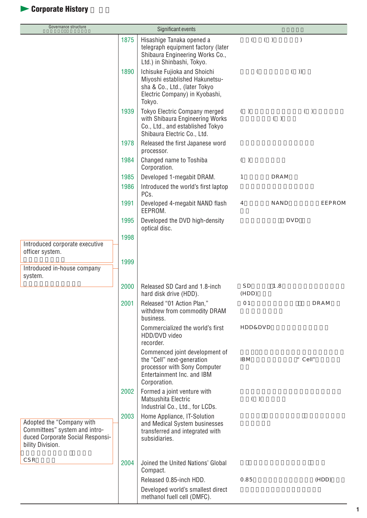# **Corporate History**

| Governance structure                                                                                               |      | Significant events                                                                                                                          |                    |            |           |
|--------------------------------------------------------------------------------------------------------------------|------|---------------------------------------------------------------------------------------------------------------------------------------------|--------------------|------------|-----------|
|                                                                                                                    | 1875 | Hisashige Tanaka opened a<br>telegraph equipment factory (later<br>Shibaura Engineering Works Co.,<br>Ltd.) in Shinbashi, Tokyo.            | $\left($           | ( )        | $\lambda$ |
|                                                                                                                    | 1890 | Ichisuke Fujioka and Shoichi<br>Miyoshi established Hakunetsu-<br>sha & Co., Ltd., (later Tokyo<br>Electric Company) in Kyobashi,<br>Tokyo. | $\left($           | ( )        |           |
|                                                                                                                    | 1939 | Tokyo Electric Company merged<br>with Shibaura Engineering Works<br>Co., Ltd., and established Tokyo<br>Shibaura Electric Co., Ltd.         | ( )                | ( )        | $(\quad)$ |
|                                                                                                                    | 1978 | Released the first Japanese word<br>processor.                                                                                              |                    |            |           |
|                                                                                                                    | 1984 | Changed name to Toshiba<br>Corporation.                                                                                                     | ( )                |            |           |
|                                                                                                                    | 1985 | Developed 1-megabit DRAM.                                                                                                                   | 1                  | DRAM       |           |
|                                                                                                                    | 1986 | Introduced the world's first laptop<br>PCs.                                                                                                 |                    |            |           |
|                                                                                                                    | 1991 | Developed 4-megabit NAND flash<br>EEPROM.                                                                                                   | $\overline{4}$     | NAND       | EEPROM    |
|                                                                                                                    | 1995 | Developed the DVD high-density<br>optical disc.                                                                                             |                    | <b>DVD</b> |           |
|                                                                                                                    | 1998 |                                                                                                                                             |                    |            |           |
| Introduced corporate executive<br>officer system.                                                                  |      |                                                                                                                                             |                    |            |           |
| Introduced in-house company<br>system.                                                                             | 1999 |                                                                                                                                             |                    |            |           |
|                                                                                                                    | 2000 | Released SD Card and 1.8-inch<br>hard disk drive (HDD).                                                                                     | S D<br>(HDD)       | 1.8        |           |
|                                                                                                                    | 2001 | Released "01 Action Plan,"<br>withdrew from commodity DRAM<br>business.                                                                     | 01                 |            | DRAM      |
|                                                                                                                    |      | Commercialized the world's first<br>HDD/DVD video<br>recorder.                                                                              | <b>HDD&amp;DVD</b> |            |           |
|                                                                                                                    |      | Commenced joint development of<br>the "Cell" next-generation<br>processor with Sony Computer<br>Entertainment Inc. and IBM<br>Corporation.  | IB <sub>M</sub>    |            | " $CeII"$ |
|                                                                                                                    | 2002 | Formed a joint venture with<br>Matsushita Electric<br>Industrial Co., Ltd., for LCDs.                                                       | ( )                |            |           |
| Adopted the "Company with<br>Committees" system and intro-<br>duced Corporate Social Responsi-<br>bility Division. | 2003 | Home Appliance, IT-Solution<br>and Medical System businesses<br>transferred and integrated with<br>subsidiaries.                            |                    |            |           |
| CSR                                                                                                                | 2004 | Joined the United Nations' Global<br>Compact.                                                                                               |                    |            |           |
|                                                                                                                    |      | Released 0.85-inch HDD.                                                                                                                     | 0.85               |            | (HDD)     |
|                                                                                                                    |      | Developed world's smallest direct<br>methanol fuell cell (DMFC).                                                                            |                    |            |           |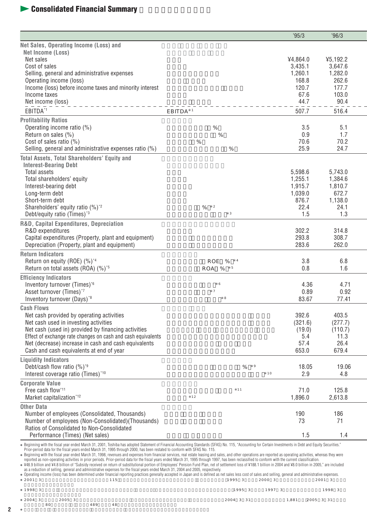## **Leapers** Consolidated Financial Summary

|                                                                                                                                                                                                                                                                                |                            | '95/3              | 96/3             |
|--------------------------------------------------------------------------------------------------------------------------------------------------------------------------------------------------------------------------------------------------------------------------------|----------------------------|--------------------|------------------|
| Net Sales, Operating Income (Loss) and                                                                                                                                                                                                                                         |                            |                    |                  |
| Net Income (Loss)                                                                                                                                                                                                                                                              |                            |                    |                  |
| Net sales                                                                                                                                                                                                                                                                      |                            | ¥4,864.0           | 45,192.2         |
| Cost of sales                                                                                                                                                                                                                                                                  |                            | 3,435.1            | 3,647.6          |
| Selling, general and administrative expenses<br>Operating income (loss)                                                                                                                                                                                                        |                            | 1,260.1<br>168.8   | 1,282.0<br>262.6 |
| Income (loss) before income taxes and minority interest                                                                                                                                                                                                                        |                            | 120.7              | 177.7            |
| Income taxes                                                                                                                                                                                                                                                                   |                            | 67.6               | 103.0            |
| Net income (loss)                                                                                                                                                                                                                                                              |                            | 44.7               | 90.4             |
| EBITDA*1                                                                                                                                                                                                                                                                       | EBITDA <sup>1</sup>        | 507.7              | 516.4            |
| <b>Profitability Ratios</b>                                                                                                                                                                                                                                                    |                            |                    |                  |
| Operating income ratio (%)                                                                                                                                                                                                                                                     | $\%$                       | 3.5                | 5.1              |
| Return on sales (%)                                                                                                                                                                                                                                                            | %                          | 0.9                | 1.7              |
| Cost of sales ratio (%)                                                                                                                                                                                                                                                        | %                          | 70.6               | 70.2             |
| Selling, general and administrative expenses ratio (%)                                                                                                                                                                                                                         | %                          | 25.9               | 24.7             |
| <b>Total Assets, Total Shareholders' Equity and</b>                                                                                                                                                                                                                            |                            |                    |                  |
| <b>Interest-Bearing Debt</b>                                                                                                                                                                                                                                                   |                            |                    |                  |
| Total assets                                                                                                                                                                                                                                                                   |                            | 5,598.6            | 5,743.0          |
| Total shareholders' equity                                                                                                                                                                                                                                                     |                            | 1,255.1            | 1,384.6          |
| Interest-bearing debt                                                                                                                                                                                                                                                          |                            | 1,915.7<br>1.039.0 | 1,810.7<br>672.7 |
| Long-term debt<br>Short-term debt                                                                                                                                                                                                                                              |                            | 876.7              | 1,138.0          |
| Shareholders' equity ratio (%) <sup>2</sup>                                                                                                                                                                                                                                    | $\overline{2}$<br>$\%$     | 22.4               | 24.1             |
| Debt/equity ratio (Times) <sup>*3</sup>                                                                                                                                                                                                                                        | $\ensuremath{\mathsf{3}}$  | 1.5                | 1.3              |
| R&D, Capital Expenditures, Depreciation                                                                                                                                                                                                                                        |                            |                    |                  |
| R&D expenditures                                                                                                                                                                                                                                                               |                            | 302.2              | 314.8            |
| Capital expenditures (Property, plant and equipment)                                                                                                                                                                                                                           |                            | 293.8              | 308.7            |
| Depreciation (Property, plant and equipment)                                                                                                                                                                                                                                   |                            | 283.6              | 262.0            |
| <b>Return Indicators</b>                                                                                                                                                                                                                                                       |                            |                    |                  |
| Return on equity (ROE) (%) <sup>*4</sup>                                                                                                                                                                                                                                       | ROE<br>%<br>$\overline{a}$ | 3.8                | 6.8              |
| Return on total assets (ROA) (%) <sup>5</sup>                                                                                                                                                                                                                                  | ROA %<br>$-5$              | 0.8                | 1.6              |
| <b>Efficiency Indicators</b>                                                                                                                                                                                                                                                   |                            |                    |                  |
| Inventory turnover (Times)*6                                                                                                                                                                                                                                                   | 6                          | 4.36               | 4.71             |
| Asset turnover (Times)*7                                                                                                                                                                                                                                                       | $\overline{7}$<br>8        | 0.89               | 0.92             |
| Inventory turnover (Days) <sup>*8</sup>                                                                                                                                                                                                                                        |                            | 83.67              | 77.41            |
| <b>Cash Flows</b><br>Net cash provided by operating activities                                                                                                                                                                                                                 |                            | 392.6              | 403.5            |
| Net cash used in investing activities                                                                                                                                                                                                                                          |                            | (321.6)            | (277.7)          |
| Net cash (used in) provided by financing activities                                                                                                                                                                                                                            |                            | (19.0)             | (110.7)          |
| Effect of exchange rate changes on cash and cash equivalents                                                                                                                                                                                                                   |                            | 5.4                | 11.3             |
| Net (decrease) increase in cash and cash equivalents                                                                                                                                                                                                                           |                            | 57.4               | 26.4             |
| Cash and cash equivalents at end of year                                                                                                                                                                                                                                       |                            | 653.0              | 679.4            |
| <b>Liquidity Indicators</b>                                                                                                                                                                                                                                                    |                            |                    |                  |
| Debt/cash flow ratio (%) <sup>*9</sup>                                                                                                                                                                                                                                         | $\circ$<br>$\%$            | 18.05              | 19.06            |
| Interest coverage ratio (Times)*10                                                                                                                                                                                                                                             | 10                         | 2.9                | 4.8              |
| <b>Corporate Value</b>                                                                                                                                                                                                                                                         |                            |                    |                  |
| Free cash flow*11                                                                                                                                                                                                                                                              | 11                         | 71.0               | 125.8            |
| Market capitalization*12                                                                                                                                                                                                                                                       | 12                         | 1,896.0            | 2,613.8          |
| <b>Other Data</b>                                                                                                                                                                                                                                                              |                            |                    |                  |
| Number of employees (Consolidated, Thousands)                                                                                                                                                                                                                                  |                            | 190                | 186              |
| Number of employees (Non-Consolidated) (Thousands)                                                                                                                                                                                                                             |                            | 73                 | 71               |
| Ratios of Consolidated to Non-Consolidated<br>Performance (Times) (Net sales)                                                                                                                                                                                                  |                            | 1.5                | 1.4              |
|                                                                                                                                                                                                                                                                                |                            |                    |                  |
| Beginning with the fiscal year ended March 31, 2001, Toshiba has adopted Statement of Financial Accounting Standards (SFAS) No. 115, "Accounting for Certain Investments in Debt and Equity Securities."<br>March 21, 1005 through 2000, has been restated to conform with SEA |                            |                    |                  |

 $80$  389  $489$ 

Beginning with the fiscal year ended March 31, 2001, Toshiba has adopted Statement of Financial Accounting Standards (SFAS) No. 115, "Accounting for Certain Investments in Debt and Equity Securities."<br>Prior-period data for

Operating income (loss) has been determined under financial reporting practices generally accepted in Japan and is defined as net sales less cost of sales and selling, general and administrative expenses.<br>2001 - 2001 - 200

| 1998 3 |        | 1995 3 1997 3 | 1998 3          |
|--------|--------|---------------|-----------------|
| 2004 3 | 2005 3 | 2004 3 31     | 1.881 2005 3 31 |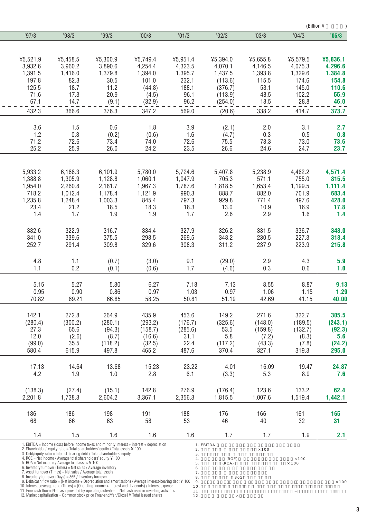|          |                                                                                                                         |                                                                                                                                                              |                                                                                                                                                                                                                |           |           |              | (Billion ¥   |              |
|----------|-------------------------------------------------------------------------------------------------------------------------|--------------------------------------------------------------------------------------------------------------------------------------------------------------|----------------------------------------------------------------------------------------------------------------------------------------------------------------------------------------------------------------|-----------|-----------|--------------|--------------|--------------|
| '97/3    | '98/3                                                                                                                   | '99/3                                                                                                                                                        | 00/3                                                                                                                                                                                                           | '01/3     | '02/3     | '03/3        | '04/3        | '05/3        |
|          |                                                                                                                         |                                                                                                                                                              |                                                                                                                                                                                                                |           |           |              |              |              |
| 45,521.9 | 45,458.5                                                                                                                | 45,300.9                                                                                                                                                     | 45,749.4                                                                                                                                                                                                       | ¥5,951.4  | ¥5,394.0  | 45,655.8     | 45,579.5     | ¥5,836.1     |
| 3,932.6  | 3,960.2                                                                                                                 | 3.890.6                                                                                                                                                      | 4,254.4                                                                                                                                                                                                        | 4,323.5   | 4,070.1   | 4,146.5      | 4,075.3      | 4,296.6      |
| 1,391.5  | 1,416.0                                                                                                                 | 1,379.8                                                                                                                                                      | 1,394.0                                                                                                                                                                                                        | 1,395.7   | 1,437.5   | 1,393.8      | 1,329.6      | 1,384.8      |
| 197.8    | 82.3                                                                                                                    | 30.5                                                                                                                                                         | 101.0                                                                                                                                                                                                          | 232.1     | (113.6)   | 115.5        | 174.6        | 154.8        |
| 125.5    | 18.7                                                                                                                    | 11.2                                                                                                                                                         | (44.8)                                                                                                                                                                                                         | 188.1     | (376.7)   | 53.1         | 145.0        | 110.6        |
| 71.6     | 17.3                                                                                                                    | 20.9                                                                                                                                                         | (4.5)                                                                                                                                                                                                          | 96.1      | (113.9)   | 48.5         | 102.2        | 55.9         |
| 67.1     | 14.7                                                                                                                    | (9.1)                                                                                                                                                        | (32.9)                                                                                                                                                                                                         | 96.2      | (254.0)   | 18.5         | 28.8         | 46.0         |
| 432.3    | 366.6                                                                                                                   | 376.3                                                                                                                                                        | 347.2                                                                                                                                                                                                          | 569.0     | (20.6)    | 338.2        | 414.7        | 373.7        |
| 3.6      | 1.5                                                                                                                     | 0.6                                                                                                                                                          | 1.8                                                                                                                                                                                                            | 3.9       | (2.1)     | 2.0          | 3.1          | 2.7          |
| 1.2      | 0.3                                                                                                                     | (0.2)                                                                                                                                                        | (0.6)                                                                                                                                                                                                          | 1.6       | (4.7)     | 0.3          | 0.5          | 0.8          |
| 71.2     | 72.6                                                                                                                    | 73.4                                                                                                                                                         | 74.0                                                                                                                                                                                                           | 72.6      | 75.5      | 73.3         | 73.0         | 73.6         |
| 25.2     | 25.9                                                                                                                    | 26.0                                                                                                                                                         | 24.2                                                                                                                                                                                                           | 23.5      | 26.6      | 24.6         | 24.7         | 23.7         |
|          |                                                                                                                         |                                                                                                                                                              |                                                                                                                                                                                                                |           |           |              |              |              |
| 5,933.2  | 6,166.3                                                                                                                 | 6,101.9                                                                                                                                                      | 5,780.0                                                                                                                                                                                                        | 5,724.6   | 5,407.8   | 5,238.9      | 4,462.2      | 4,571.4      |
| 1,388.8  | 1,305.9                                                                                                                 | 1,128.8                                                                                                                                                      | 1,060.1                                                                                                                                                                                                        | 1,047.9   | 705.3     | 571.1        | 755.0        | 815.5        |
| 1,954.0  | 2,260.8                                                                                                                 | 2,181.7                                                                                                                                                      | 1,967.3                                                                                                                                                                                                        | 1,787.6   | 1,818.5   | 1,653.4      | 1,199.5      | 1,111.4      |
| 718.2    | 1,012.4                                                                                                                 | 1,178.4                                                                                                                                                      | 1,121.9                                                                                                                                                                                                        | 990.3     | 888.7     | 882.0        | 701.9        | 683.4        |
| 1,235.8  | 1,248.4                                                                                                                 | 1,003.3                                                                                                                                                      | 845.4                                                                                                                                                                                                          | 797.3     | 929.8     | 771.4        | 497.6        | 428.0        |
| 23.4     | 21.2                                                                                                                    | 18.5                                                                                                                                                         | 18.3                                                                                                                                                                                                           | 18.3      | 13.0      | 10.9         | 16.9         | 17.8         |
| 1.4      | 1.7                                                                                                                     | 1.9                                                                                                                                                          | 1.9                                                                                                                                                                                                            | 1.7       | 2.6       | 2.9          | 1.6          | 1.4          |
| 332.6    | 322.9                                                                                                                   | 316.7                                                                                                                                                        | 334.4                                                                                                                                                                                                          | 327.9     | 326.2     | 331.5        | 336.7        | 348.0        |
| 341.0    | 339.6                                                                                                                   | 375.5                                                                                                                                                        | 298.5                                                                                                                                                                                                          | 269.5     | 348.2     | 230.5        | 227.3        | 318.4        |
| 252.7    | 291.4                                                                                                                   | 309.8                                                                                                                                                        | 329.6                                                                                                                                                                                                          | 308.3     | 311.2     | 237.9        | 223.9        | 215.8        |
|          |                                                                                                                         |                                                                                                                                                              |                                                                                                                                                                                                                |           |           |              |              |              |
| 4.8      | 1.1                                                                                                                     | (0.7)                                                                                                                                                        | (3.0)                                                                                                                                                                                                          | 9.1       | (29.0)    | 2.9          | 4.3          | 5.9          |
| 1.1      | 0.2                                                                                                                     | (0.1)                                                                                                                                                        | (0.6)                                                                                                                                                                                                          | 1.7       | (4.6)     | 0.3          | 0.6          | 1.0          |
| 5.15     | 5.27                                                                                                                    | 5.30                                                                                                                                                         | 6.27                                                                                                                                                                                                           | 7.18      | 7.13      | 8.55         | 8.87         | 9.13         |
| 0.95     | 0.90                                                                                                                    | 0.86                                                                                                                                                         | 0.97                                                                                                                                                                                                           | 1.03      | 0.97      | 1.06         | 1.15         | 1.29         |
| 70.82    | 69.21                                                                                                                   | 66.85                                                                                                                                                        | 58.25                                                                                                                                                                                                          | 50.81     | 51.19     | 42.69        | 41.15        | 40.00        |
|          |                                                                                                                         |                                                                                                                                                              |                                                                                                                                                                                                                |           |           |              |              |              |
| 142.1    | 272.8                                                                                                                   | 264.9                                                                                                                                                        | 435.9                                                                                                                                                                                                          | 453.6     | 149.2     | 271.6        | 322.7        | 305.5        |
| (280.4)  | (300.2)                                                                                                                 | (280.1)                                                                                                                                                      | (293.2)                                                                                                                                                                                                        | (176.7)   | (325.6)   | (148.0)      | (189.5)      | (243.1)      |
| 27.3     | 65.6                                                                                                                    | (94.3)                                                                                                                                                       | (158.7)                                                                                                                                                                                                        | (285.6)   | 53.5      | (159.8)      | (132.7)      | (92.3)       |
| 12.0     | (2.6)                                                                                                                   | (8.7)                                                                                                                                                        | (16.6)                                                                                                                                                                                                         | 31.1      | 5.8       | (7.2)        | (8.3)        | 5.6          |
| (99.0)   | $35.5\,$                                                                                                                | (118.2)                                                                                                                                                      | (32.5)                                                                                                                                                                                                         | 22.4      | (117.2)   | (43.3)       | (7.8)        | (24.2)       |
| 580.4    | 615.9                                                                                                                   | 497.8                                                                                                                                                        | 465.2                                                                                                                                                                                                          | 487.6     | 370.4     | 327.1        | 319.3        | 295.0        |
| 17.13    | 14.64                                                                                                                   | 13.68                                                                                                                                                        | 15.23                                                                                                                                                                                                          | 23.22     | 4.01      | 16.09        | 19.47        | 24.87        |
| 4.2      | 1.9                                                                                                                     | 1.0                                                                                                                                                          | 2.8                                                                                                                                                                                                            | 6.1       | (3.3)     | 5.3          | 8.9          | 7.6          |
| (138.3)  | (27.4)                                                                                                                  | (15.1)                                                                                                                                                       | 142.8                                                                                                                                                                                                          | 276.9     | (176.4)   | 123.6        | 133.2        | 62.4         |
| 2,201.8  | 1,738.3                                                                                                                 | 2,604.2                                                                                                                                                      | 3,367.1                                                                                                                                                                                                        | 2,356.3   | 1,815.5   | 1,007.6      | 1,519.4      | 1,442.1      |
|          |                                                                                                                         |                                                                                                                                                              |                                                                                                                                                                                                                |           |           |              |              |              |
| 186      | 186                                                                                                                     | 198                                                                                                                                                          | 191                                                                                                                                                                                                            | 188       | 176       | 166          | 161          | 165          |
| 68       | 66                                                                                                                      | 63                                                                                                                                                           | 58                                                                                                                                                                                                             | 53        | 46        | 40           | 32           | 31           |
| 1.4      | 1.5                                                                                                                     | 1.6                                                                                                                                                          | 1.6                                                                                                                                                                                                            | 1.6       | 1.7       | 1.7          | 1.9          | 2.1          |
|          |                                                                                                                         |                                                                                                                                                              | 1. EBITDA = Income (loss) before income taxes and minority interest + interest + depreciation                                                                                                                  |           | 1. EBITDA |              |              |              |
|          |                                                                                                                         | 2. Shareholders' equity ratio = Total shareholders' equity / Total assets ¥ 100<br>3. Debt/equity ratio = Interest-bearing debt / Total shareholders' equity |                                                                                                                                                                                                                | 2.<br>3.  |           | $\times$ 100 |              |              |
|          | 4. ROE = Net income / Average total shareholders' equity ¥ 100<br>5. ROA = Net income / Average total assets ¥ 100      |                                                                                                                                                              |                                                                                                                                                                                                                | 4.        | (ROE)     |              | $\times$ 100 |              |
|          | 6. Inventory turnover (Times) = Net sales / Average inventory                                                           |                                                                                                                                                              |                                                                                                                                                                                                                | 5.<br>6.  | (ROA)     |              | $\times$ 100 |              |
|          | 7. Asset turnover (Times) = Net sales / Average total assets<br>8. Inventory turnover (Days) = 365 / Inventory turnover |                                                                                                                                                              |                                                                                                                                                                                                                | 7.<br>8.  | 365       |              |              |              |
|          |                                                                                                                         |                                                                                                                                                              | 9. Debt/cash flow ratio = (Net income + Depreciation and amortization) / Average interest-bearing debt $4$ 100                                                                                                 | 9.<br>10. |           |              |              | $\times$ 100 |
|          |                                                                                                                         |                                                                                                                                                              | 10. Interest coverage ratio (Times) = (Operating income + Interest and dividends) / Interest expense<br>11. Free cash flow = Net cash provided by operating activities - Net cash used in investing activities | 11.       |           |              |              |              |
|          |                                                                                                                         | 12. Market capitalization = Common stock price [Year-end/Yen/Close] ¥ Total issued shares                                                                    |                                                                                                                                                                                                                | 12.       |           |              |              |              |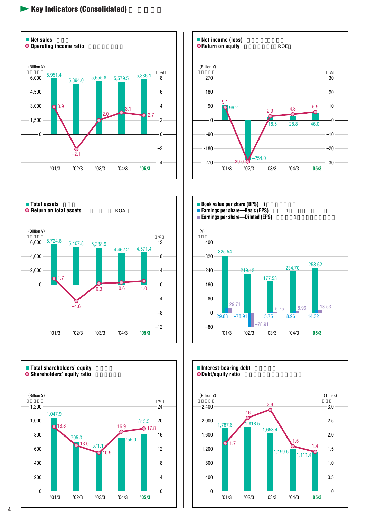## $\blacktriangleright$  **Key Indicators (Consolidated)**











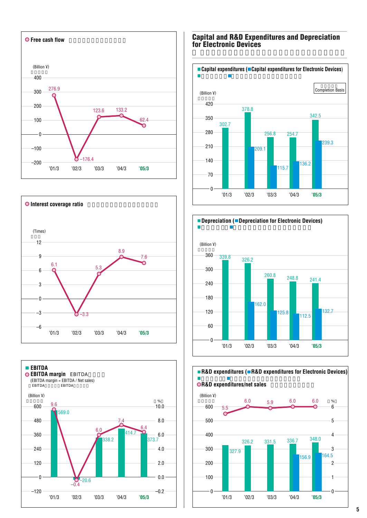





#### **Capital and R&D Expenditures and Depreciation for Electronic Devices**





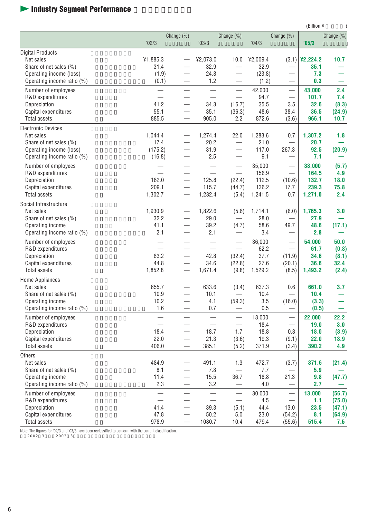## **Industry Segment Performance**

|                                         |                                      |                          |               |                                 |               |                                  | (Billion ¥       |                  |
|-----------------------------------------|--------------------------------------|--------------------------|---------------|---------------------------------|---------------|----------------------------------|------------------|------------------|
|                                         |                                      | Change (%)               |               | Change (%)                      |               | Change (%)                       |                  | Change (%)       |
|                                         | 02/3                                 |                          | '03/3         |                                 | 04/3          |                                  | '05/3            |                  |
| <b>Digital Products</b>                 |                                      |                          |               |                                 |               |                                  |                  |                  |
| Net sales                               | ¥1,885.3                             |                          | ¥2,073.0      | 10.0                            | ¥2,009.4      |                                  | $(3.1)$ \2,224.2 | 10.7             |
| Share of net sales (%)                  | 31.4                                 |                          | 32.9          |                                 | 32.9          | $\qquad \qquad -$                | 35.1             |                  |
| Operating income (loss)                 | (1.9)                                |                          | 24.8          |                                 | (23.8)        | $\overline{\phantom{0}}$         | 7.3              |                  |
| Operating income ratio (%)              | (0.1)                                |                          | 1.2           |                                 | (1.2)         |                                  | 0.3              |                  |
| Number of employees                     |                                      |                          |               | $\overline{\phantom{0}}$        | 42,000        | $\overbrace{\phantom{12322111}}$ | 43,000           | 2.4              |
| R&D expenditures                        |                                      |                          |               | $\equiv$                        | 94.7          |                                  | 101.7            | 7.4              |
| Depreciation                            | 41.2                                 |                          | 34.3          | (16.7)                          | 35.5          | 3.5                              | 32.6             | (8.3)            |
| Capital expenditures                    | 55.1                                 |                          | 35.1          | (36.3)                          | 48.6          | 38.4                             | 36.5             | (24.9)           |
| <b>Total assets</b>                     | 885.5                                |                          | 905.0         | 2.2                             | 872.6         | (3.6)                            | 966.1            | 10.7             |
| <b>Electronic Devices</b>               |                                      |                          |               |                                 |               |                                  |                  |                  |
| Net sales                               | 1,044.4                              |                          | 1,274.4       | 22.0                            | 1,283.6       | 0.7                              | 1,307.2          | 1.8              |
| Share of net sales (%)                  | 17.4                                 |                          | 20.2          |                                 | 21.0          |                                  | 20.7             |                  |
| Operating income (loss)                 | (175.2)                              |                          | 31.9          |                                 | 117.0         | 267.3                            | 92.5             | (20.9)           |
| Operating income ratio (%)              | (16.8)                               |                          | 2.5           |                                 | 9.1           |                                  | 7.1              |                  |
| Number of employees                     |                                      |                          |               |                                 | 35,000        |                                  | 33,000           | (5.7)            |
| R&D expenditures                        |                                      |                          |               |                                 | 156.9         |                                  | 164.5            | 4.9              |
| Depreciation                            | 162.0                                | $\overline{\phantom{0}}$ | 125.8         | (22.4)                          | 112.5         | (10.6)                           | 132.7            | 18.0             |
| Capital expenditures                    | 209.1                                |                          | 115.7         | (44.7)                          | 136.2         | 17.7                             | 239.3            | 75.8             |
| <b>Total assets</b>                     | 1,302.7                              |                          | 1,232.4       | (5.4)                           | 1,241.5       | 0.7                              | 1,271.0          | 2.4              |
| Social Infrastructure                   |                                      |                          |               |                                 |               |                                  |                  |                  |
| Net sales                               | 1,930.9                              |                          | 1,822.6       | (5.6)                           | 1,714.1       | (6.0)                            | 1,765.3          | 3.0              |
| Share of net sales (%)                  | 32.2                                 |                          | 29.0          |                                 | 28.0          |                                  | 27.9             |                  |
| Operating income                        | 41.1                                 |                          | 39.2          | (4.7)                           | 58.6          | 49.7                             | 48.6             | (17.1)           |
| Operating income ratio (%)              | 2.1                                  |                          | 2.1           |                                 | 3.4           |                                  | 2.8              |                  |
| Number of employees                     |                                      |                          |               |                                 | 36,000        | $\overbrace{\phantom{12322111}}$ | 54,000           | 50.0             |
| R&D expenditures                        |                                      |                          |               | $\overline{\phantom{0}}$        | 62.2          |                                  | 61.7             | (0.8)            |
| Depreciation                            | 63.2                                 |                          | 42.8          | (32.4)                          | 37.7          | (11.9)                           | 34.6             | (8.1)            |
| Capital expenditures                    | 44.8                                 |                          | 34.6          | (22.8)                          | 27.6          | (20.1)                           | 36.6             | 32.4             |
| <b>Total assets</b>                     | 1,852.8                              |                          | 1,671.4       | (9.8)                           | 1,529.2       | (8.5)                            | 1,493.2          | (2.4)            |
| <b>Home Appliances</b>                  |                                      |                          |               |                                 |               |                                  |                  |                  |
| Net sales                               | 655.7                                |                          | 633.6         | (3.4)                           | 637.3         | 0.6                              | 661.0            | 3.7              |
| Share of net sales (%)                  | 10.9                                 |                          | 10.1          |                                 | 10.4          | $\overline{\phantom{0}}$         | 10.4             |                  |
| Operating income                        | 10.2                                 |                          | 4.1           | (59.3)                          | 3.5           | (16.0)                           | (3.3)            |                  |
| Operating income ratio (%)              | 1.6                                  |                          | 0.7           |                                 | 0.5           |                                  | (0.5)            |                  |
| Number of employees                     |                                      |                          |               |                                 | 18,000        | $\overbrace{\phantom{12322111}}$ | 22,000           | 22.2             |
| R&D expenditures                        |                                      |                          |               |                                 | 18.4          |                                  | 19.0             | 3.0              |
| Depreciation                            | 18.4                                 |                          | 18.7          | 1.7                             | 18.8          | 0.3                              | 18.0             | (3.9)            |
| Capital expenditures<br>Total assets    | 22.0<br>406.0                        |                          | 21.3<br>385.1 | (3.6)<br>(5.2)                  | 19.3<br>371.9 | (9.1)<br>(3.4)                   | 22.0<br>390.2    | 13.9<br>4.9      |
|                                         |                                      |                          |               |                                 |               |                                  |                  |                  |
| Others<br>Net sales                     |                                      |                          |               |                                 |               |                                  |                  |                  |
| Share of net sales (%)                  | 484.9<br>8.1                         |                          | 491.1<br>7.8  | 1.3<br>$\overline{\phantom{m}}$ | 472.7<br>7.7  | (3.7)                            | 371.6<br>5.9     | (21.4)           |
| Operating income                        | 11.4                                 |                          | 15.5          | 36.7                            | 18.8          | $\overbrace{\phantom{13333}}$    |                  |                  |
| Operating income ratio (%)              | 2.3                                  |                          | 3.2           |                                 | $4.0\,$       | 21.3                             | 9.8<br>2.7       | (47.7)           |
|                                         |                                      |                          |               |                                 |               |                                  |                  |                  |
| Number of employees<br>R&D expenditures | $\overline{\phantom{0}}$<br>$\equiv$ |                          | —             | $\frac{1}{1}$                   | 30,000<br>4.5 |                                  | 13,000<br>1.1    | (56.7)<br>(75.0) |
| Depreciation                            | 41.4                                 | $\overline{\phantom{0}}$ | 39.3          | (5.1)                           | 44.4          | 13.0                             | 23.5             | (47.1)           |
| Capital expenditures                    | 47.8                                 | $\overline{\phantom{0}}$ | 50.2          | 5.0                             | 23.0          | (54.2)                           | 8.1              | (64.9)           |
| Total assets                            | 978.9                                |                          | 1080.7        | 10.4                            | 479.4         | (55.6)                           | 515.4            | 7.5              |

Note: The figures for '02/3 and '03/3 have been reclassified to conform with the current classification.<br>2002 3 2003 3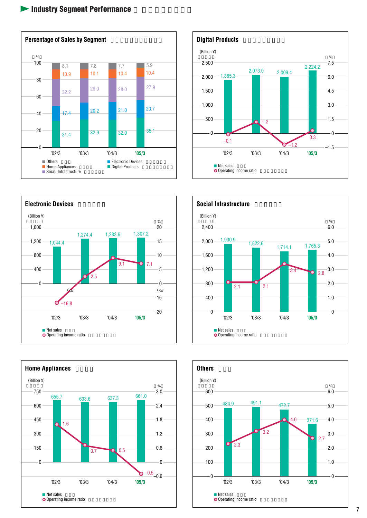









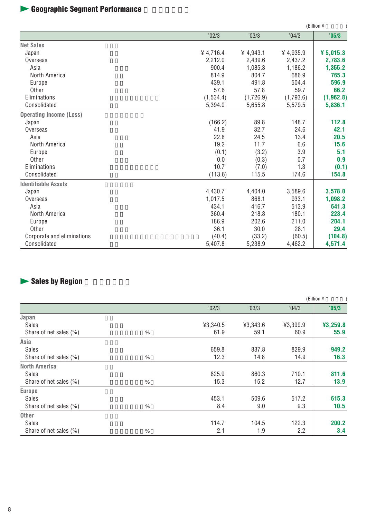# $\blacktriangleright$  Geographic Segment Performance

|                                |            |           |             | (Billion ¥ |
|--------------------------------|------------|-----------|-------------|------------|
|                                | '02/3      | '03/3     | '04/3       | '05/3      |
| <b>Net Sales</b>               |            |           |             |            |
| Japan                          | ¥4,716.4   | 4.943.1   | $¥$ 4,935.9 | ¥ 5,015.3  |
| Overseas                       | 2,212.0    | 2,439.6   | 2,437.2     | 2,783.6    |
| Asia                           | 900.4      | 1,085.3   | 1,186.2     | 1,355.2    |
| North America                  | 814.9      | 804.7     | 686.9       | 765.3      |
| Europe                         | 439.1      | 491.8     | 504.4       | 596.9      |
| Other                          | 57.6       | 57.8      | 59.7        | 66.2       |
| Eliminations                   | (1, 534.4) | (1,726.9) | (1,793.6)   | (1, 962.8) |
| Consolidated                   | 5,394.0    | 5,655.8   | 5,579.5     | 5,836.1    |
| <b>Operating Income (Loss)</b> |            |           |             |            |
| Japan                          | (166.2)    | 89.8      | 148.7       | 112.8      |
| Overseas                       | 41.9       | 32.7      | 24.6        | 42.1       |
| Asia                           | 22.8       | 24.5      | 13.4        | 20.5       |
| North America                  | 19.2       | 11.7      | 6.6         | 15.6       |
| Europe                         | (0.1)      | (3.2)     | 3.9         | 5.1        |
| Other                          | 0.0        | (0.3)     | 0.7         | 0.9        |
| Eliminations                   | 10.7       | (7.0)     | 1.3         | (0.1)      |
| Consolidated                   | (113.6)    | 115.5     | 174.6       | 154.8      |
| <b>Identifiable Assets</b>     |            |           |             |            |
| Japan                          | 4,430.7    | 4,404.0   | 3,589.6     | 3,578.0    |
| Overseas                       | 1,017.5    | 868.1     | 933.1       | 1,098.2    |
| Asia                           | 434.1      | 416.7     | 513.9       | 641.3      |
| North America                  | 360.4      | 218.8     | 180.1       | 223.4      |
| Europe                         | 186.9      | 202.6     | 211.0       | 204.1      |
| Other                          | 36.1       | 30.0      | 28.1        | 29.4       |
| Corporate and eliminations     | (40.4)     | (33.2)    | (60.5)      | (104.8)    |
| Consolidated                   | 5,407.8    | 5,238.9   | 4,462.2     | 4,571.4    |

# $\blacktriangleright$  **Sales by Region**

|                        |   |          |          |          | (Billion ¥ |
|------------------------|---|----------|----------|----------|------------|
|                        |   | '02/3    | '03/3    | '04/3    | '05/3      |
| Japan                  |   |          |          |          |            |
| <b>Sales</b>           |   | ¥3,340.5 | ¥3,343.6 | ¥3,399.9 | ¥3,259.8   |
| Share of net sales (%) | % | 61.9     | 59.1     | 60.9     | 55.9       |
| Asia                   |   |          |          |          |            |
| <b>Sales</b>           |   | 659.8    | 837.8    | 829.9    | 949.2      |
| Share of net sales (%) | % | 12.3     | 14.8     | 14.9     | 16.3       |
| North America          |   |          |          |          |            |
| <b>Sales</b>           |   | 825.9    | 860.3    | 710.1    | 811.6      |
| Share of net sales (%) | % | 15.3     | 15.2     | 12.7     | 13.9       |
| <b>Europe</b>          |   |          |          |          |            |
| <b>Sales</b>           |   | 453.1    | 509.6    | 517.2    | 615.3      |
| Share of net sales (%) | % | 8.4      | 9.0      | 9.3      | 10.5       |
| <b>Other</b>           |   |          |          |          |            |
| <b>Sales</b>           |   | 114.7    | 104.5    | 122.3    | 200.2      |
| Share of net sales (%) | % | 2.1      | 1.9      | 2.2      | 3.4        |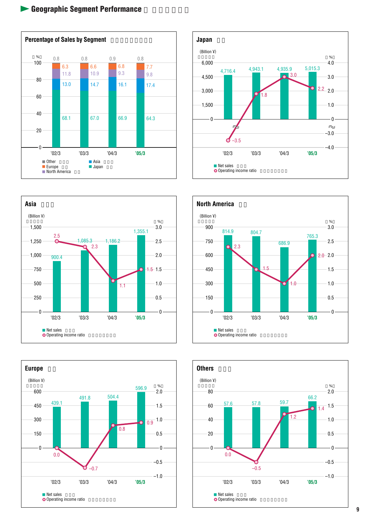









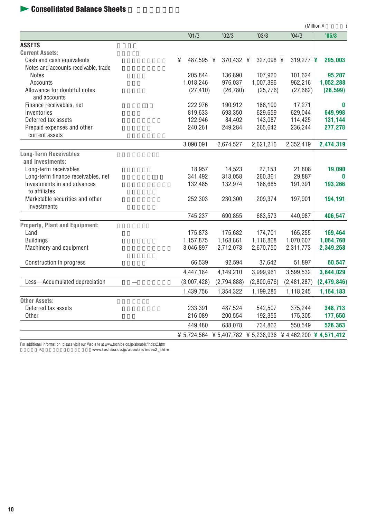## $\blacktriangleright$  **Consolidated Balance Sheets**

|                                              |                |             |                                                                     |             | (Million ¥    |
|----------------------------------------------|----------------|-------------|---------------------------------------------------------------------|-------------|---------------|
|                                              | '01/3          | '02/3       | '03/3                                                               | '04/3       | '05/3         |
| <b>ASSETS</b>                                |                |             |                                                                     |             |               |
| <b>Current Assets:</b>                       |                |             |                                                                     |             |               |
| Cash and cash equivalents                    | ¥<br>487,595 ¥ | 370,432 ¥   | 327,098 ¥                                                           | 319,277 $ $ | 295,003       |
| Notes and accounts receivable, trade         |                |             |                                                                     |             |               |
| <b>Notes</b>                                 | 205,844        | 136,890     | 107,920                                                             | 101,624     | 95,207        |
| Accounts                                     | 1,018,246      | 976,037     | 1,007,396                                                           | 962,216     | 1,052,288     |
| Allowance for doubtful notes                 | (27, 410)      | (26, 780)   | (25, 776)                                                           | (27, 682)   | (26, 599)     |
| and accounts                                 |                |             |                                                                     |             |               |
| Finance receivables, net                     | 222,976        | 190,912     | 166,190                                                             | 17,271      | 0             |
| Inventories                                  | 819,633        | 693,350     | 629,659                                                             | 629,044     | 649,998       |
| Deferred tax assets                          | 122,946        | 84,402      | 143,087                                                             | 114,425     | 131,144       |
| Prepaid expenses and other<br>current assets | 240,261        | 249,284     | 265,642                                                             | 236,244     | 277,278       |
|                                              | 3,090,091      | 2,674,527   | 2,621,216                                                           | 2,352,419   | 2,474,319     |
| <b>Long-Term Receivables</b>                 |                |             |                                                                     |             |               |
| and Investments:                             |                |             |                                                                     |             |               |
| Long-term receivables                        | 18,957         | 14,523      | 27,153                                                              | 21,808      | 19,090        |
| Long-term finance receivables, net           | 341,492        | 313,058     | 260,361                                                             | 29,887      | 0             |
| Investments in and advances                  | 132,485        | 132,974     | 186,685                                                             | 191,391     | 193,266       |
| to affiliates                                |                |             |                                                                     |             |               |
| Marketable securities and other              | 252,303        | 230,300     | 209,374                                                             | 197,901     | 194,191       |
| investments                                  |                |             |                                                                     |             |               |
|                                              | 745,237        | 690,855     | 683,573                                                             | 440,987     | 406,547       |
| Property, Plant and Equipment:               |                |             |                                                                     |             |               |
| Land                                         | 175,873        | 175,682     | 174,701                                                             | 165,255     | 169,464       |
| <b>Buildings</b>                             | 1,157,875      | 1,168,861   | 1,116,868                                                           | 1,070,607   | 1,064,760     |
| Machinery and equipment                      | 3,046,897      | 2,712,073   | 2,670,750                                                           | 2,311,773   | 2,349,258     |
| Construction in progress                     | 66,539         | 92,594      | 37,642                                                              | 51,897      | 60,547        |
|                                              | 4,447,184      | 4,149,210   | 3,999,961                                                           | 3,599,532   | 3,644,029     |
| Less-Accumulated depreciation                | (3,007,428)    | (2,794,888) | (2,800,676)                                                         | (2,481,287) | (2, 479, 846) |
|                                              | 1,439,756      | 1,354,322   | 1,199,285                                                           | 1,118,245   | 1,164,183     |
| <b>Other Assets:</b>                         |                |             |                                                                     |             |               |
| Deferred tax assets                          | 233,391        | 487,524     | 542,507                                                             | 375,244     | 348,713       |
| Other                                        | 216,089        | 200,554     | 192,355                                                             | 175,305     | 177,650       |
|                                              | 449,480        | 688,078     | 734,862                                                             | 550,549     | 526,363       |
|                                              |                |             | ¥ 5,724,564 ¥ 5,407,782 ¥ 5,238,936 ¥ 4,462,200 $\vert$ ¥ 4,571,412 |             |               |

For additional information, please visit our Web site at www.toshiba.co.jp/about/ir/index2.htm 詳細は当社IRサイトにてご覧いただけます。 www.toshiba.co.jp/about/ir/index2\_j.htm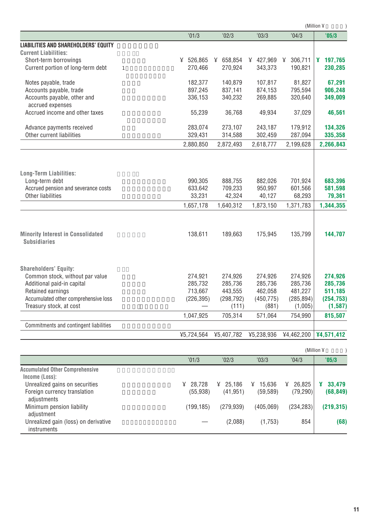|                                                                 |            |            |            |              | (Million ¥ |
|-----------------------------------------------------------------|------------|------------|------------|--------------|------------|
|                                                                 | '01/3      | '02/3      | '03/3      | '04/3        | '05/3      |
| <b>LIABILITIES AND SHAREHOLDERS' EQUITY</b>                     |            |            |            |              |            |
| <b>Current Liabilities:</b>                                     |            |            |            |              |            |
| Short-term borrowings                                           | ¥ 526,865  | ¥ 658,854  | ¥ 427,969  | 306,711<br>¥ | 4 197,765  |
| Current portion of long-term debt<br>$\mathbf{1}$               | 270,466    | 270,924    | 343,373    | 190,821      | 230,285    |
| Notes payable, trade                                            | 182,377    | 140,879    | 107,817    | 81,827       | 67,291     |
| Accounts payable, trade                                         | 897,245    | 837,141    | 874,153    | 795,594      | 906,248    |
| Accounts payable, other and                                     | 336,153    | 340,232    | 269,885    | 320,640      | 349,009    |
| accrued expenses                                                |            |            |            |              |            |
| Accrued income and other taxes                                  | 55,239     | 36,768     | 49,934     | 37,029       | 46,561     |
| Advance payments received                                       | 283,074    | 273,107    | 243,187    | 179,912      | 134,326    |
| Other current liabilities                                       | 329,431    | 314,588    | 302,459    | 287,094      | 335,358    |
|                                                                 | 2,880,850  | 2,872,493  | 2,618,777  | 2,199,628    | 2,266,843  |
| <b>Long-Term Liabilities:</b>                                   |            |            |            |              |            |
| Long-term debt                                                  | 990.305    | 888.755    | 882.026    | 701.924      | 683.396    |
| Accrued pension and severance costs                             | 633,642    | 709,233    | 950,997    | 601,566      | 581,598    |
| Other liabilities                                               | 33,231     | 42,324     | 40,127     | 68,293       | 79,361     |
|                                                                 | 1,657,178  | 1,640,312  | 1,873,150  | 1,371,783    | 1,344,355  |
| <b>Minority Interest in Consolidated</b><br><b>Subsidiaries</b> | 138,611    | 189,663    | 175,945    | 135,799      | 144,707    |
| <b>Shareholders' Equity:</b>                                    |            |            |            |              |            |
| Common stock, without par value                                 | 274,921    | 274,926    | 274,926    | 274,926      | 274,926    |
| Additional paid-in capital                                      | 285,732    | 285,736    | 285,736    | 285,736      | 285,736    |
| Retained earnings                                               | 713,667    | 443,555    | 462,058    | 481,227      | 511,185    |
| Accumulated other comprehensive loss                            | (226, 395) | (298, 792) | (450, 775) | (285, 894)   | (254, 753) |
| Treasury stock, at cost                                         |            | (111)      | (881)      | (1,005)      | (1, 587)   |
|                                                                 | 1,047,925  | 705,314    | 571,064    | 754,990      | 815,507    |
| Commitments and contingent liabilities                          |            |            |            |              |            |
|                                                                 | ¥5,724,564 | ¥5,407,782 | ¥5,238,936 | ¥4,462,200   | ¥4,571,412 |
|                                                                 |            |            |            |              |            |

|                                                                               |                          |                                   |                          |                          | (Million ¥               |
|-------------------------------------------------------------------------------|--------------------------|-----------------------------------|--------------------------|--------------------------|--------------------------|
|                                                                               | '01/3                    | '02/3                             | '03/3                    | '04/3                    | '05/3                    |
| <b>Accumulated Other Comprehensive</b><br>Income (Loss):                      |                          |                                   |                          |                          |                          |
| Unrealized gains on securities<br>Foreign currency translation<br>adjustments | 28.728<br>¥<br>(55, 938) | $\frac{1}{2}$ 25.186<br>(41, 951) | 15.636<br>¥<br>(59, 589) | 26,825<br>¥<br>(79, 290) | 33,479<br>¥<br>(68, 849) |
| Minimum pension liability<br>adjustment                                       | (199, 185)               | (279.939)                         | (405,069)                | (234, 283)               | (219, 315)               |
| Unrealized gain (loss) on derivative<br>instruments                           |                          | (2,088)                           | (1,753)                  | 854                      | (68)                     |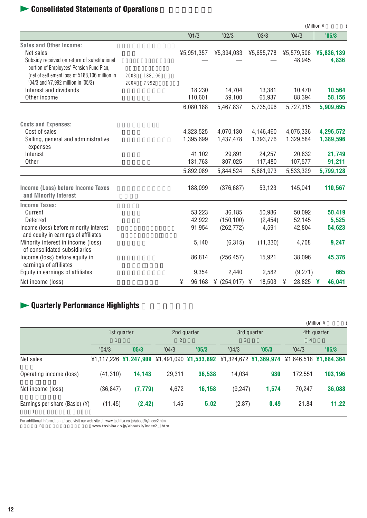## **Example 3** Consolidated Statements of Operations

|                                                |      |         |             |            |             |             | (Million ¥  |
|------------------------------------------------|------|---------|-------------|------------|-------------|-------------|-------------|
|                                                |      |         | '01/3       | '02/3      | '03/3       | '04/3       | '05/3       |
| <b>Sales and Other Income:</b>                 |      |         |             |            |             |             |             |
| Net sales                                      |      |         | ¥5,951,357  | ¥5,394,033 | ¥5,655,778  | ¥5,579,506  | ¥5,836,139  |
| Subsidy received on return of substitutional   |      |         |             |            |             | 48,945      | 4,836       |
| portion of Employees' Pension Fund Plan,       |      |         |             |            |             |             |             |
| (net of settlement loss of ¥188,106 million in | 2003 | 188,106 |             |            |             |             |             |
| '04/3 and ¥7,992 million in '05/3)             | 2004 | 7,992   |             |            |             |             |             |
| Interest and dividends                         |      |         | 18,230      | 14,704     | 13,381      | 10,470      | 10,564      |
| Other income                                   |      |         | 110,601     | 59,100     | 65,937      | 88,394      | 58,156      |
|                                                |      |         | 6,080,188   | 5,467,837  | 5,735,096   | 5,727,315   | 5,909,695   |
| <b>Costs and Expenses:</b>                     |      |         |             |            |             |             |             |
| Cost of sales                                  |      |         | 4,323,525   | 4,070,130  | 4,146,460   | 4,075,336   | 4,296,572   |
| Selling, general and administrative            |      |         | 1,395,699   | 1,437,478  | 1,393,776   | 1,329,584   | 1,389,596   |
| expenses                                       |      |         |             |            |             |             |             |
| Interest                                       |      |         | 41,102      | 29.891     | 24,257      | 20,832      | 21,749      |
| Other                                          |      |         | 131,763     | 307,025    | 117,480     | 107,577     | 91,211      |
|                                                |      |         | 5,892,089   | 5,844,524  | 5,681,973   | 5,533,329   | 5,799,128   |
|                                                |      |         |             |            |             |             |             |
| Income (Loss) before Income Taxes              |      |         | 188,099     | (376, 687) | 53,123      | 145,041     | 110,567     |
| and Minority Interest                          |      |         |             |            |             |             |             |
| <b>Income Taxes:</b>                           |      |         |             |            |             |             |             |
| Current                                        |      |         | 53,223      | 36,185     | 50,986      | 50,092      | 50,419      |
| Deferred                                       |      |         | 42.922      | (150, 100) | (2, 454)    | 52,145      | 5,525       |
| Income (loss) before minority interest         |      |         | 91,954      | (262, 772) | 4,591       | 42,804      | 54,623      |
| and equity in earnings of affiliates           |      |         |             |            |             |             |             |
| Minority interest in income (loss)             |      |         | 5,140       | (6,315)    | (11, 330)   | 4,708       | 9,247       |
| of consolidated subsidiaries                   |      |         |             |            |             |             |             |
| Income (loss) before equity in                 |      |         | 86,814      | (256, 457) | 15,921      | 38,096      | 45,376      |
| earnings of affiliates                         |      |         |             |            |             |             |             |
| Equity in earnings of affiliates               |      |         | 9,354       | 2,440      | 2,582       | (9,271)     | 665         |
| Net income (loss)                              |      |         | ¥<br>96,168 | (254, 017) | 18,503<br>¥ | 28,825<br>¥ | ¥<br>46,041 |

## $\blacktriangleright$  **Quarterly Performance Highlights**

|                                  |             |          |        |                                                                   |         |             |                | (Million ¥                |
|----------------------------------|-------------|----------|--------|-------------------------------------------------------------------|---------|-------------|----------------|---------------------------|
|                                  | 1st quarter |          |        | 2nd quarter                                                       |         | 3rd quarter | 4th quarter    |                           |
|                                  |             |          | 2      |                                                                   | 3       |             | $\overline{4}$ |                           |
|                                  | '04/3       | '05/3    | '04/3  | '05/3                                                             | '04/3   | '05/3       | '04/3          | '05/3                     |
| Net sales                        |             |          |        | ¥1,117,226 ¥1,247,909 ¥1,491,090 ¥1,533,892 ¥1,324,672 ¥1,369,974 |         |             |                | $41.646.518$ $41.684.364$ |
| Operating income (loss)          | (41, 310)   | 14,143   | 29,311 | 36,538                                                            | 14,034  | 930         | 172.551        | 103,196                   |
| Net income (loss)                | (36, 847)   | (7, 779) | 4,672  | 16,158                                                            | (9,247) | 1,574       | 70.247         | 36,088                    |
| Earnings per share (Basic) $(Y)$ | (11.45)     | (2.42)   | 1.45   | 5.02                                                              | (2.87)  | 0.49        | 21.84          | 11.22                     |

For additional information, please visit our web site at www.toshiba.co.jp/about/ir/index2.htm 詳細は当社IRサイトにてご覧いただけます。 www.toshiba.co.jp/about/ir/index2\_j.htm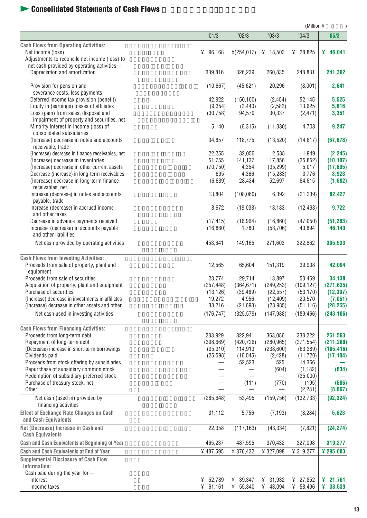## **Consolidated Statements of Cash Flows**

|                                                                              |                     |                         |                        | (Million ¥          |                      |
|------------------------------------------------------------------------------|---------------------|-------------------------|------------------------|---------------------|----------------------|
|                                                                              | '01/3               | '02/3                   | '03/3                  | '04/3               | '05/3                |
| <b>Cash Flows from Operating Activities:</b>                                 |                     |                         |                        |                     |                      |
| Net income (loss)                                                            | ¥ $96,168$          | $\frac{1}{2}(254, 017)$ | ¥ 18,503               | ¥ 28,825            | 46,041               |
| Adjustments to reconcile net income (loss) to                                |                     |                         |                        |                     |                      |
| net cash provided by operating activities-                                   |                     |                         |                        |                     |                      |
| Depreciation and amortization                                                | 339,816             | 326,239                 | 260,835                | 248,831             | 241,362              |
| Provision for pension and                                                    | (10,667)            | (45, 621)               | 20,296                 | (8,001)             | 2,641                |
| severance costs, less payments                                               |                     |                         |                        |                     |                      |
| Deferred income tax provision (benefit)                                      | 42,922              | (150, 100)              | (2, 454)               | 52,145              | 5,525                |
| Equity in (earnings) losses of affiliates                                    | (9,354)             | (2, 440)                | (2, 582)               | 13,625              | 5,816                |
| Loss (gain) from sales, disposal and                                         | (30, 758)           | 94,579                  | 30,337                 | (2, 471)            | 3,351                |
| impairment of property and securities, net                                   |                     |                         |                        |                     |                      |
| Minority interest in income (loss) of<br>consolidated subsidiaries           | 5,140               | (6,315)                 | (11, 330)              | 4,708               | 9,247                |
| (Increase) decrease in notes and accounts                                    | 34,857              | 118,775                 | (13,520)               | (14, 617)           | (67, 678)            |
| receivable, trade                                                            |                     |                         |                        |                     |                      |
| (Increase) decrease in finance receivables, net                              | 22,255              | 32,056                  | 2,538                  | 1,949               | (2, 245)             |
| (Increase) decrease in inventories                                           | 51,755              | 141,137                 | 17,856                 | (35, 852)           | (10, 107)            |
| (Increase) decrease in other current assets                                  | (70, 750)           | 4,354                   | (35, 299)              | 5,017               | (17, 695)            |
| Decrease (increase) in long-term receivables                                 | 695                 | 4,366                   | (15, 283)              | 3,776               | 3,928                |
| (Increase) decrease in long-term finance                                     | (6,639)             | 28,434                  | 52,697                 | 64,615              | (1,682)              |
| receivables, net<br>Increase (decrease) in notes and accounts                | 13,804              | (108,060)               | 6,392                  | (21, 239)           | 82,427               |
| payable, trade                                                               |                     |                         |                        |                     |                      |
| Increase (decrease) in accrued income                                        | 8,672               | (19,038)                | 13,183                 | (12, 493)           | 9,722                |
| and other taxes                                                              |                     |                         |                        |                     |                      |
| Decrease in advance payments received                                        | (17, 415)           | (16, 964)               | (16, 860)              | (47,050)            | (51, 263)            |
| Increase (decrease) in accounts payable                                      | (16, 860)           | 1,780                   | (53,706)               | 40,894              | 46,143               |
| and other liabilities                                                        |                     |                         |                        |                     |                      |
| Net cash provided by operating activities                                    | 453,641             | 149,165                 | 271,603                | 322,662             | 305,533              |
| <b>Cash Flows from Investing Activities:</b>                                 |                     |                         |                        |                     |                      |
| Proceeds from sale of property, plant and                                    | 12,565              | 65,604                  | 151,319                | 39,908              | 42,094               |
| equipment                                                                    |                     |                         |                        |                     |                      |
| Proceeds from sale of securities                                             | 23,774              | 29,714                  | 13,897                 | 53,469              | 34,138               |
| Acquisition of property, plant and equipment<br>Purchase of securities       | (257, 448)          | (364, 671)              | (249, 253)             | (199, 127)          | (271, 635)           |
| (Increase) decrease in investments in affiliates                             | (13, 126)<br>19,272 | (39, 489)<br>4,956      | (22, 557)<br>(12, 409) | (53, 170)<br>20,570 | (12, 397)<br>(7,051) |
| (Increase) decrease in other assets and other                                | 38,216              | (21, 693)               | (28, 985)              | (51, 116)           | (28, 255)            |
| Net cash used in investing activities                                        | (176, 747)          | (325, 579)              | (147,988)              | (189, 466)          | (243, 106)           |
|                                                                              |                     |                         |                        |                     |                      |
| <b>Cash Flows from Financing Activities:</b><br>Proceeds from long-term debt | 233,929             | 322,941                 | 363,086                | 338,222             | 251,563              |
| Repayment of long-term debt                                                  | (398, 669)          | (420, 726)              | (280, 965)             | (371, 554)          | (211, 280)           |
| (Decrease) increase in short-term borrowings                                 | (95, 310)           | 114,913                 | (238,600)              | (63, 389)           | (105, 416)           |
| Dividends paid                                                               | (25, 598)           | (16, 045)               | (2, 428)               | (11, 720)           | (17, 104)            |
| Proceeds from stock offering by subsidiaries                                 |                     | 52,523                  | 525                    | 14,366              |                      |
| Repurchase of subsidiary common stock                                        |                     |                         | (604)                  | (1, 182)            | (634)                |
| Redemption of subsidiary preferred stock                                     |                     |                         |                        | (35,000)            |                      |
| Purchase of treasury stock, net<br>Other                                     |                     | (111)                   | (770)                  | (195)               | (586)                |
|                                                                              |                     |                         |                        | (2, 281)            | (8, 867)             |
| Net cash (used in) provided by<br>financing activities                       | (285, 648)          | 53,495                  | (159, 756)             | (132, 733)          | (92, 324)            |
| <b>Effect of Exchange Rate Changes on Cash</b>                               | 31,112              | 5,756                   | (7, 193)               | (8, 284)            | 5,623                |
| and Cash Equivalents                                                         |                     |                         |                        |                     |                      |
| Net (Decrease) Increase in Cash and                                          | 22,358              | (117, 163)              | (43, 334)              | (7, 821)            | (24, 274)            |
| <b>Cash Equivalents</b>                                                      |                     |                         |                        |                     |                      |
| Cash and Cash Equivalents at Beginning of Year                               | 465,237             | 487,595                 | 370,432                | 327,098             | 319,277              |
| Cash and Cash Equivalents at End of Year                                     | ¥487,595            | ¥ 370,432               | ¥ 327,098              | ¥ 319,277           | ¥ 295,003            |
| <b>Supplemental Disclosure of Cash Flow</b>                                  |                     |                         |                        |                     |                      |
| Information:                                                                 |                     |                         |                        |                     |                      |
| Cash paid during the year for-                                               |                     |                         |                        |                     |                      |
| Interest                                                                     | ¥ 52,789            | $4 \quad 39,347$        | $4 \quad 31,932$       | ¥ 27,852            | 21,761<br>¥          |
| Income taxes                                                                 | ¥ 61,161            | 455,340                 | 43,094                 | ¥ 58,496            | ¥<br>38,539          |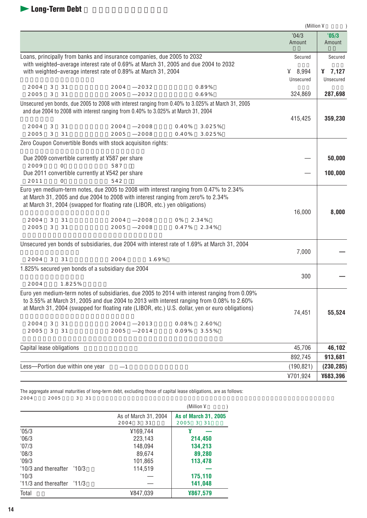|                                                                                                                                                                                                                                                                                                                                                                                                          | (Million ¥      |                 |
|----------------------------------------------------------------------------------------------------------------------------------------------------------------------------------------------------------------------------------------------------------------------------------------------------------------------------------------------------------------------------------------------------------|-----------------|-----------------|
|                                                                                                                                                                                                                                                                                                                                                                                                          | '04/3<br>Amount | '05/3<br>Amount |
| Loans, principally from banks and insurance companies, due 2005 to 2032<br>with weighted-average interest rate of 0.69% at March 31, 2005 and due 2004 to 2032                                                                                                                                                                                                                                           | Secured         | Secured         |
| with weighted-average interest rate of 0.89% at March 31, 2004                                                                                                                                                                                                                                                                                                                                           | 48.994          | 47,127          |
|                                                                                                                                                                                                                                                                                                                                                                                                          | Unsecured       | Unsecured       |
| 3<br>0.89%<br>2004<br>31<br>2004<br>2032                                                                                                                                                                                                                                                                                                                                                                 |                 |                 |
| 2005<br>3<br>31<br>0.69%<br>2005<br>2032                                                                                                                                                                                                                                                                                                                                                                 | 324,869         | 287,698         |
| Unsecured yen bonds, due 2005 to 2008 with interest ranging from 0.40% to 3.025% at March 31, 2005                                                                                                                                                                                                                                                                                                       |                 |                 |
| and due 2004 to 2008 with interest ranging from 0.40% to 3.025% at March 31, 2004                                                                                                                                                                                                                                                                                                                        |                 |                 |
|                                                                                                                                                                                                                                                                                                                                                                                                          | 415,425         | 359,230         |
| 2004<br>3<br>31<br>2004<br>2008<br>0.40%<br>3.025%<br>3<br>31<br>2005<br>2005<br>2008<br>0.40%<br>3.025%                                                                                                                                                                                                                                                                                                 |                 |                 |
| Zero Coupon Convertible Bonds with stock acquisiton rights:                                                                                                                                                                                                                                                                                                                                              |                 |                 |
|                                                                                                                                                                                                                                                                                                                                                                                                          |                 |                 |
| Due 2009 convertible currently at ¥587 per share                                                                                                                                                                                                                                                                                                                                                         |                 | 50,000          |
| 2009<br>587<br>$\Omega$                                                                                                                                                                                                                                                                                                                                                                                  |                 |                 |
| Due 2011 convertible currently at ¥542 per share                                                                                                                                                                                                                                                                                                                                                         |                 | 100,000         |
| 2011<br>$\Omega$<br>542<br>Euro yen medium-term notes, due 2005 to 2008 with interest ranging from 0.47% to 2.34%                                                                                                                                                                                                                                                                                        |                 |                 |
| at March 31, 2005 and due 2004 to 2008 with interest ranging from zero% to 2.34%<br>at March 31, 2004 (swapped for floating rate (LIBOR, etc.) yen obligations)<br>2004<br>2004<br>3<br>31<br>2008<br>0%<br>2.34%<br>2005<br>3<br>31<br>2005<br>2008<br>0.47%<br>2.34%                                                                                                                                   | 16,000          | 8,000           |
| Unsecured yen bonds of subsidiaries, due 2004 with interest rate of 1.69% at March 31, 2004                                                                                                                                                                                                                                                                                                              |                 |                 |
|                                                                                                                                                                                                                                                                                                                                                                                                          | 7,000           |                 |
| 2004<br>2004<br>3<br>31<br>1.69%                                                                                                                                                                                                                                                                                                                                                                         |                 |                 |
| 1.825% secured yen bonds of a subsidiary due 2004                                                                                                                                                                                                                                                                                                                                                        | 300             |                 |
| 2004<br>1.825%                                                                                                                                                                                                                                                                                                                                                                                           |                 |                 |
| Euro yen medium-term notes of subsidiaries, due 2005 to 2014 with interest ranging from 0.09%<br>to 3.55% at March 31, 2005 and due 2004 to 2013 with interest ranging from 0.08% to 2.60%<br>at March 31, 2004 (swapped for floating rate (LIBOR, etc.) U.S. dollar, yen or euro obligations)<br>2004<br>3<br>31<br>2004<br>2013<br>0.08%<br>2.60%<br>2005<br>3<br>31<br>2005<br>2014<br>0.09%<br>3.55% | 74,451          | 55,524          |
| Capital lease obligations                                                                                                                                                                                                                                                                                                                                                                                | 45,706          | 46,102          |
|                                                                                                                                                                                                                                                                                                                                                                                                          | 892,745         | 913,681         |
| Less-Portion due within one year<br>$\mathbf{1}$                                                                                                                                                                                                                                                                                                                                                         | (190, 821)      | (230, 285)      |
|                                                                                                                                                                                                                                                                                                                                                                                                          | ¥701,924        | ¥683,396        |

The aggregate annual maturities of long-term debt, excluding those of capital lease obligations, are as follows:  $2004$   $2005$   $3$   $31$ 

|                                |                      | (Million $\Psi$             |
|--------------------------------|----------------------|-----------------------------|
|                                | As of March 31, 2004 | <b>As of March 31, 2005</b> |
|                                | 2004<br>3 31         | 2005<br>3 31                |
| '05/3                          | ¥169,744             |                             |
| 06/3                           | 223,143              | 214,450                     |
| '07/3                          | 148,094              | 134,213                     |
| '08/3                          | 89,674               | 89,280                      |
| '09/3                          | 101,865              | 113,478                     |
| $'10/3$ and thereafter $'10/3$ | 114,519              |                             |
| '10/3                          |                      | 175,110                     |
| $'11/3$ and thereafter $'11/3$ |                      | 141,048                     |
| Total                          | ¥847,039             | ¥867,579                    |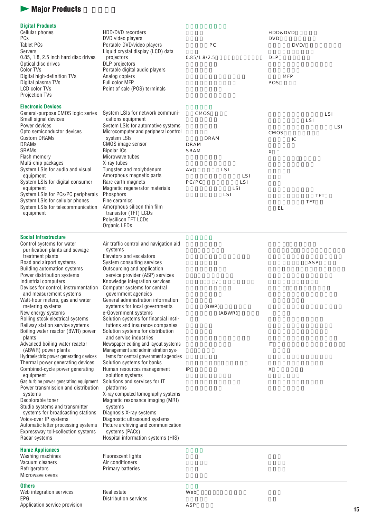## **Major Products**

#### **Digital Products**

| Cellular phones<br><b>PCs</b>        | HDD/DVD recorders<br>DVD video players |              | HDD&DVD<br><b>DVD</b> |
|--------------------------------------|----------------------------------------|--------------|-----------------------|
| Tablet PCs                           | Portable DVD/video players             | P C          | DVD/                  |
| Servers                              | Liquid crystal display (LCD) data      |              |                       |
| 0.85, 1.8, 2.5 inch hard disc drives | projectors                             | 0.85/1.8/2.5 | DLP                   |
| Optical disc drives                  | DLP projectors                         |              |                       |
| Color TVs                            | Portable digital audio players         |              |                       |
| Digital high-definition TVs          | Analog copiers                         |              | <b>MFP</b>            |
| Digital plasma TVs                   | Full color MFP                         |              | POS                   |
| LCD color TVs                        | Point of sale (POS) terminals          |              |                       |
| <b>Projection TVs</b>                |                                        |              |                       |

#### **Electronic Devices** Genera

| General-purpose CMOS logic series<br>Small signal devices | System LSIs for network communi-<br>cations equipment | CMOS  |      |                 |      |    | LSI | LSI  |
|-----------------------------------------------------------|-------------------------------------------------------|-------|------|-----------------|------|----|-----|------|
| Power devices                                             | System LSIs for automotive systems                    |       |      |                 |      |    |     | LS I |
| Opto semiconductor devices                                | Microcomputer and peripheral control                  |       |      |                 | CMOS |    |     |      |
| <b>Custom DRAMs</b>                                       | system LSIs                                           | DRAM  |      |                 |      | IС |     |      |
| <b>DRAMs</b>                                              | CMOS image sensor                                     | DRAM  |      |                 |      |    |     |      |
| <b>SRAMs</b>                                              | Bipolar ICs                                           | SRAM  |      |                 | X    |    |     |      |
| Flash memory                                              | Microwave tubes                                       |       |      |                 |      |    |     |      |
| Multi-chip packages                                       | X-ray tubes                                           |       |      |                 |      |    |     |      |
| System LSIs for audio and visual                          | Tungsten and molybdenum                               | A V   | LSI  |                 |      |    |     |      |
| equipment                                                 | Amorphous magnetic parts                              |       |      | LS <sub>I</sub> |      |    |     |      |
| System LSIs for digital consumer                          | Rare earth magnets                                    | PC/PC |      | LS I            |      |    |     |      |
| equipment                                                 | Magnetic regenerator materials                        |       | LS I |                 |      |    |     |      |
| System LSIs for PCs/PC peripherals                        | Phosphors                                             |       | LS I |                 |      |    | TFT |      |
| System LSIs for cellular phones                           | Fine ceramics                                         |       |      |                 |      |    | TFT |      |
| System LSIs for telecommunication<br>equipment            | Amorphous silicon thin film<br>transistor (TFT) LCDs  |       |      |                 | ΕL   |    |     |      |
|                                                           | Polysilicon TFT LCDs                                  |       |      |                 |      |    |     |      |

#### **Social Infrastructure**

Organic LEDs

| Social Intrastructure                  |                                        |          |    |     |
|----------------------------------------|----------------------------------------|----------|----|-----|
| Control systems for water              | Air traffic control and navigation aid |          |    |     |
| purification plants and sewage         | systems                                |          |    |     |
| treatment plants                       | Elevators and escalators               |          |    |     |
| Road and airport systems               | System consulting services             |          |    | ASP |
| <b>Building automation systems</b>     | Outsourcing and application            |          |    |     |
| Power distribution systems             | service provider (ASP) services        |          |    |     |
| Industrial computers                   | Knowledge integration services         | $\prime$ |    |     |
| Devices for control, instrumentation   | Computer systems for central           |          |    |     |
| and measurement systems                | government agencies                    |          |    |     |
| Watt-hour meters, gas and water        | General administration information     |          |    |     |
| metering systems                       | systems for local governments          | (BWR)    |    |     |
| New energy systems                     | e-Government systems                   | (ABWR)   |    |     |
| Rolling stock electrical systems       | Solution systems for financial insti-  |          |    |     |
| Railway station service systems        | tutions and insurance companies        |          |    |     |
| Boiling water reactor (BWR) power      | Solution systems for distribution      |          |    |     |
| plants                                 | and service industries                 |          |    |     |
| Advanced boiling water reactor         | Newspaper editing and layout systems   |          | IT |     |
| (ABWR) power plants                    | Management and administration sys-     |          |    |     |
| Hydroelectric power generating devices | tems for central government agencies   |          |    |     |
| Thermal power generating devices       | Solution systems for banks             |          |    |     |
| Combined-cycle power generating        | Human resources management             | IP       | Χ  |     |
| equipment                              | solution systems                       |          |    |     |
| Gas turbine power generating equipment | Solutions and services for IT          |          |    |     |
| Power transmission and distribution    | platforms                              |          |    |     |
| systems                                | X-ray computed tomography systems      |          |    |     |
| Decolorable toner                      | Magnetic resonance imaging (MRI)       |          |    |     |
| Studio systems and transmitter         | systems                                |          |    |     |
| systems for broadcasting stations      | Diagnosis X-ray systems                |          |    |     |
| Voice-over IP systems                  | Diagnostic ultrasound systems          |          |    |     |
| Automatic letter processing systems    | Picture archiving and communication    |          |    |     |
| Expressway toll-collection systems     | systems (PACs)                         |          |    |     |
| Radar systems                          | Hospital information systems (HIS)     |          |    |     |
| <b>Home Appliances</b>                 |                                        |          |    |     |
| Washing machines                       | <b>Fluorescent lights</b>              |          |    |     |
| Vacuum cleaners                        | Air conditioners                       |          |    |     |
| Refrigerators                          | Primary batteries                      |          |    |     |
| Microwave ovens                        |                                        |          |    |     |
| <b>Others</b>                          |                                        |          |    |     |
| Web integration services               | Real estate                            | Web      |    |     |
| EPG                                    | Distribution services                  |          |    |     |

EPG Application service provision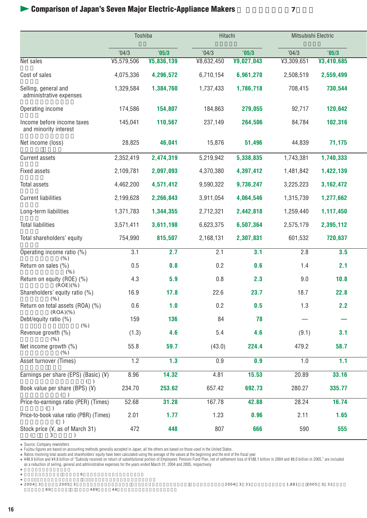## **Comparison of Japan's Seven Major Electric-Appliance Makers**

|                                                     | Toshiba    |            | Hitachi    |            | Mitsubishi Electric |             |  |
|-----------------------------------------------------|------------|------------|------------|------------|---------------------|-------------|--|
|                                                     | '04/3      | '05/3      | '04/3      | '05/3      | '04/3               | '05/3       |  |
| Net sales                                           | ¥5,579,506 | ¥5,836,139 | ¥8,632,450 | ¥9,027,043 | ¥3,309,651          | ¥3,410,685  |  |
| Cost of sales                                       | 4,075,336  | 4,296,572  | 6,710,154  | 6,961,270  | 2,508,519           | 2,559,499   |  |
| Selling, general and<br>administrative expenses     | 1,329,584  | 1,384,760  | 1,737,433  | 1,786,718  | 708,415             | 730,544     |  |
| Operating income                                    | 174,586    | 154,807    | 184,863    | 279,055    | 92,717              | 120,642     |  |
| Income before income taxes<br>and minority interest | 145,041    | 110,567    | 237,149    | 264,506    | 84,784              | 102,316     |  |
| Net income (loss)                                   | 28,825     | 46,041     | 15,876     | 51,496     | 44,839              | 71,175      |  |
| <b>Current assets</b>                               | 2,352,419  | 2,474,319  | 5,219,942  | 5,338,835  | 1,743,381           | 1,740,333   |  |
| <b>Fixed assets</b>                                 | 2,109,781  | 2,097,093  | 4,370,380  | 4,397,412  | 1,481,842           | 1,422,139   |  |
| Total assets                                        | 4,462,200  | 4,571,412  | 9,590,322  | 9,736,247  | 3,225,223           | 3, 162, 472 |  |
| <b>Current liabilities</b>                          | 2,199,628  | 2,266,843  | 3,911,054  | 4,064,546  | 1,315,739           | 1,277,662   |  |
| Long-term liabilities                               | 1,371,783  | 1,344,355  | 2,712,321  | 2,442,818  | 1,259,440           | 1,117,450   |  |
| <b>Total liabilities</b>                            | 3,571,411  | 3,611,198  | 6,623,375  | 6,507,364  | 2,575,179           | 2,395,112   |  |
| Total shareholders' equity                          | 754,990    | 815,507    | 2,168,131  | 2,307,831  | 601,532             | 720,637     |  |
| Operating income ratio (%)<br>$(\% )$               | 3.1        | 2.7        | 2.1        | 3.1        | 2.8                 | 3.5         |  |
| Return on sales (%)<br>$(\% )$                      | 0.5        | 0.8        | 0.2        | 0.6        | 1.4                 | 2.1         |  |
| Return on equity (ROE) (%)<br>(ROE)(% )             | 4.3        | 5.9        | 0.8        | 2.3        | 9.0                 | 10.8        |  |
| Shareholders' equity ratio (%)<br>$(\% )$           | 16.9       | 17.8       | 22.6       | 23.7       | 18.7                | 22.8        |  |
| Return on total assets (ROA) (%)<br>(ROA)(% )       | 0.6        | 1.0        | 0.2        | 0.5        | 1.3                 | 2.2         |  |
| Debt/equity ratio (%)<br>$(\% )$                    | 159        | 136        | 84         | 78         |                     |             |  |
| Revenue growth (%)<br>$(\% )$                       | (1.3)      | 4.6        | 5.4        | 4.6        | (9.1)               | 3.1         |  |
| Net income growth (%)<br>$(\% )$                    | 55.8       | 59.7       | (43.0)     | 224.4      | 479.2               | 58.7        |  |
| Asset turnover (Times)                              | 1.2        | 1.3        | 0.9        | 0.9        | 1.0                 | 1.1         |  |
| Earnings per share (EPS) (Basic) $(4)$              | 8.96       | 14.32      | 4.81       | 15.53      | 20.89               | 33.16       |  |
| Book value per share (BPS) (¥)                      | 234.70     | 253.62     | 657.42     | 692.73     | 280.27              | 335.77      |  |
| Price-to-earnings ratio (PER) (Times)<br>( )        | 52.68      | 31.28      | 167.78     | 42.88      | 28.24               | 16.74       |  |
| Price-to-book value ratio (PBR) (Times)             | 2.01       | 1.77       | 1.23       | 0.96       | 2.11                | 1.65        |  |
| Stock price (¥, as of March 31)                     | 472        | 448        | 807        | 666        | 590                 | 555         |  |

Source: Company newsletters Fujitsu figures are based on accounting methods generally accepted in Japan; all the others are based on those used in the United States.

Ratios involving total assets and shareholders' equity have been calculated using the average of the values at the beginning and the end of the fiscal year<br>¥48.9 billion and ¥4.8 billion of "Subsidy received on return of s

 $\sim$  6  $2004 \quad 3 \quad 2005 \quad 3 \quad 2004 \quad 3 \quad 31$ 

 $80$  389  $489$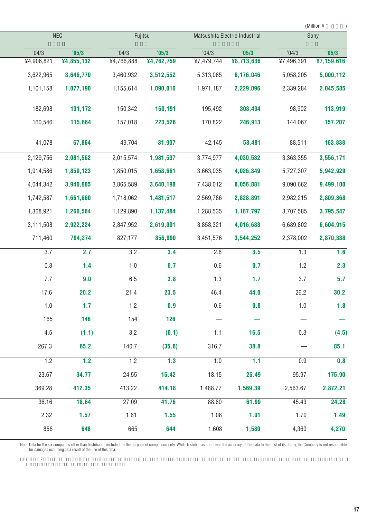|                  |            |                  |            |                  |                  |                                | (Million ¥   |
|------------------|------------|------------------|------------|------------------|------------------|--------------------------------|--------------|
|                  |            |                  |            |                  |                  |                                | Sony         |
| '04/3            | '05/3      | 04/3             | '05/3      | '04/3            | '05/3            | '04/3                          | '05/3        |
| ¥4,906,821       | ¥4,855,132 | ¥4,766,888       | ¥4,762,759 | ¥7,479,744       | ¥8,713,636       | ¥7,496,391                     | Y7, 159, 616 |
| 3,622,965        | 3,646,770  | 3,460,932        | 3,512,552  | 5,313,065        | 6,176,046        | 5,058,205                      | 5,000,112    |
| 1,101,158        | 1,077,190  | 1,155,614        | 1,090,016  | 1,971,187        | 2,229,096        | 2,339,284                      | 2,045,585    |
| 182,698          | 131,172    | 150,342          | 160,191    | 195,492          | 308,494          | 98,902                         | 113,919      |
| 160,546          | 115,664    | 157,018          | 223,526    | 170,822          | 246,913          | 144,067                        | 157,207      |
| 41,078           | 67,864     | 49,704           | 31,907     | 42,145           | 58,481           | 88,511                         | 163,838      |
| 2,129,756        | 2,081,562  | 2,015,574        | 1,981,537  | 3,774,977        | 4,030,532        | 3,363,355                      | 3,556,171    |
| 1,914,586        | 1,859,123  | 1,850,015        | 1,658,661  | 3,663,035        | 4,026,349        | 5,727,307                      | 5,942,929    |
| 4,044,342        | 3,940,685  | 3,865,589        | 3,640,198  | 7,438,012        | 8,056,881        | 9,090,662                      | 9,499,100    |
| 1,742,587        | 1,661,660  | 1,718,062        | 1,481,517  | 2,569,786        | 2,828,891        | 2,982,215                      | 2,809,368    |
| 1,368,921        | 1,260,564  | 1,129,890        | 1,137,484  | 1,288,535        | 1,187,797        | 3,707,585                      | 3,795,547    |
| 3,111,508        | 2,922,224  | 2,847,952        | 2,619,001  | 3,858,321        | 4,016,688        | 6,689,802                      | 6,604,915    |
| 711,460          | 794,274    | 827,177          | 856,990    | 3,451,576        | 3,544,252        | 2,378,002                      | 2,870,338    |
| $\overline{3.7}$ | 2.7        | 3.2              | 3.4        | 2.6              | 3.5              | 1.3                            | 1.6          |
| $0.8\,$          | 1.4        | 1.0              | 0.7        | 0.6              | 0.7              | 1.2                            | 2.3          |
| 7.7              | 9.0        | 6.5              | 3.8        | 1.3              | 1.7              | 3.7                            | 5.7          |
| 17.6             | 20.2       | 21.4             | 23.5       | 46.4             | 44.0             | 26.2                           | 30.2         |
| 1.0              | 1.7        | 1.2              | 0.9        | 0.6              | 0.8              | 1.0                            | 1.8          |
| 165              | 146        | 154              | 126        |                  |                  |                                |              |
| 4.5              | (1.1)      | 3.2              | (0.1)      | 1.1              | 16.5             | 0.3                            | (4.5)        |
| 267.3            | 65.2       | 140.7            | (35.8)     | 316.7            | 38.8             |                                | 85.1         |
| $\overline{1.2}$ | 1.2        | $\overline{1.2}$ | 1.3        | $\overline{1.0}$ | $\overline{1.1}$ | 0.9                            | 0.8          |
| 23.67            | 34.77      | 24.55            | 15.42      | 18.15            | 25.49            | 95.97                          | 175.90       |
| 369.28           | 412.35     | 413.22           | 414.18     | 1,488.77         | 1,569.39         | 2,563.67                       | 2,872.21     |
| 36.16            | 18.64      | 27.09            | 41.76      | 88.60            | 61.99            | 45.43                          | 24.28        |
| 2.32             | 1.57       | 1.61             | 1.55       | 1.08             | 1.01             | 1.70                           | 1.49         |
| 856              | 648        | 665              | 644        | 1,608            | 1,580            | 4,360                          | 4,270        |
|                  |            | <b>NEC</b>       |            | Fujitsu          |                  | Matsushita Electric Industrial |              |

Note: Data for the six companies other than Toshiba are included for the purpose of comparison only. While Toshiba has confirmed the accuracy of this data to the best of its ability, the Company is not responsible<br>for dama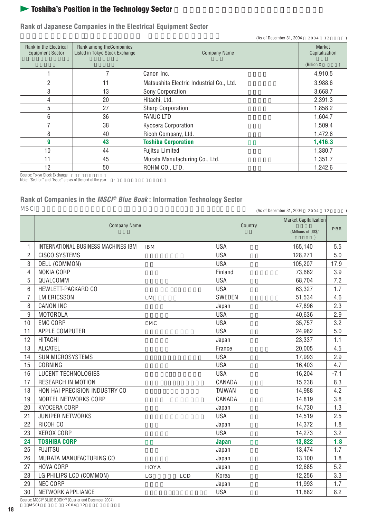## **Toshiba's Position in the Technology Sector**

#### **Rank of Japanese Companies in the Electrical Equipment Sector**

|                                                   |                                                            | (As of December 31, 2004)                | 2004 12                  |
|---------------------------------------------------|------------------------------------------------------------|------------------------------------------|--------------------------|
| Rank in the Electrical<br><b>Equipment Sector</b> | Rank among the Companies<br>Listed in Tokyo Stock Exchange | <b>Company Name</b>                      | Market<br>Capitalization |
|                                                   |                                                            |                                          | (Billion ¥               |
|                                                   |                                                            | Canon Inc.                               | 4,910.5                  |
| $\overline{2}$                                    | 11                                                         | Matsushita Electric Industrial Co., Ltd. | 3,988.6                  |
| 3                                                 | 13                                                         | Sony Corporation                         | 3,668.7                  |
| 4                                                 | 20                                                         | Hitachi, Ltd.                            | 2,391.3                  |
| 5                                                 | 27                                                         | Sharp Corporation                        | 1,858.2                  |
| 6                                                 | 36                                                         | <b>FANUC LTD</b>                         | 1,604.7                  |
| 7                                                 | 38                                                         | Kyocera Corporation                      | 1,509.4                  |
| 8                                                 | 40                                                         | Ricoh Company, Ltd.                      | 1,472.6                  |
| 9                                                 | 43                                                         | <b>Toshiba Corporation</b>               | 1,416.3                  |
| 10                                                | 44                                                         | <b>Fujitsu Limited</b>                   | 1,380.7                  |
| 11                                                | 45                                                         | Murata Manufacturing Co., Ltd.           | 1,351.7                  |
| 12                                                | 50                                                         | ROHM CO., LTD.                           | 1,242.6                  |

Source: Tokyo Stock Exchange<br>Note: "Section" and "Issue" are as of the end of the year. :

## **Rank of Companies in the MSCI® Blue Book : Information Technology Sector**

| MS C I         |                                                        |               | (As of December 31, 2004 2004 12            |        |
|----------------|--------------------------------------------------------|---------------|---------------------------------------------|--------|
|                | <b>Company Name</b>                                    | Country       | Market Capitalization<br>(Millions of US\$/ | PBR    |
| 1.             | INTERNATIONAL BUSINESS MACHINES IBM<br>IB <sub>M</sub> | <b>USA</b>    | 165,140                                     | 5.5    |
| $\overline{2}$ | <b>CISCO SYSTEMS</b>                                   | <b>USA</b>    | 128,271                                     | 5.0    |
| 3              | DELL (COMMON)                                          | <b>USA</b>    | 105,207                                     | 17.9   |
| 4              | <b>NOKIA CORP</b>                                      | Finland       | 73,662                                      | 3.9    |
| 5              | QUALCOMM                                               | <b>USA</b>    | 68,704                                      | 7.2    |
| 6              | HEWLETT-PACKARD CO                                     | <b>USA</b>    | 63,327                                      | 1.7    |
| $\overline{7}$ | <b>LM ERICSSON</b><br><b>LM</b>                        | SWEDEN        | 51,534                                      | 4.6    |
| 8              | <b>CANON INC</b>                                       | Japan         | 47,896                                      | 2.3    |
| 9              | <b>MOTOROLA</b>                                        | <b>USA</b>    | 40,636                                      | 2.9    |
| 10             | <b>EMC CORP</b><br>E MC                                | <b>USA</b>    | 35,757                                      | 3.2    |
| 11             | APPLE COMPUTER                                         | <b>USA</b>    | 24,982                                      | 5.0    |
| 12             | <b>HITACHI</b>                                         | Japan         | 23,337                                      | 1.1    |
| 13             | <b>ALCATEL</b>                                         | France        | 20,005                                      | 4.5    |
| 14             | SUN MICROSYSTEMS                                       | <b>USA</b>    | 17,993                                      | 2.9    |
| 15             | CORNING                                                | <b>USA</b>    | 16,403                                      | 4.7    |
| 16             | <b>LUCENT TECHNOLOGIES</b>                             | <b>USA</b>    | 16,204                                      | $-7.1$ |
| 17             | <b>RESEARCH IN MOTION</b>                              | CANADA        | 15,238                                      | 8.3    |
| 18             | HON HAI PRECISION INDUSTRY CO                          | <b>TAIWAN</b> | 14,988                                      | 4.2    |
| 19             | NORTEL NETWORKS CORP                                   | CANADA        | 14,819                                      | 3.8    |
| 20             | KYOCERA CORP                                           | Japan         | 14,730                                      | 1.3    |
| 21             | JUNIPER NETWORKS                                       | <b>USA</b>    | 14,519                                      | 2.5    |
| 22             | RICOH CO                                               | Japan         | 14,372                                      | 1.8    |
| 23             | XEROX CORP                                             | <b>USA</b>    | 14,273                                      | 3.2    |
| 24             | <b>TOSHIBA CORP</b>                                    | <b>Japan</b>  | 13,822                                      | 1.8    |
| 25             | <b>FUJITSU</b>                                         | Japan         | 13,474                                      | 1.7    |
| 26             | MURATA MANUFACTURING CO                                | Japan         | 13,100                                      | 1.8    |
| 27             | HOYA CORP<br>HOYA                                      | Japan         | 12,685                                      | 5.2    |
| 28             | LG PHILIPS LCD (COMMON)<br>LG<br>LCD                   | Korea         | 12,256                                      | 3.3    |
| 29             | <b>NEC CORP</b>                                        | Japan         | 11,993                                      | 1.7    |
| 30             | NETWORK APPLIANCE                                      | <b>USA</b>    | 11,882                                      | 8.2    |
|                |                                                        |               |                                             |        |

Source: MSCI® BLUE BOOKSM (Quarter end December 2004) 資料:MSCI ブルーブック 2004年12月に終了する四半期)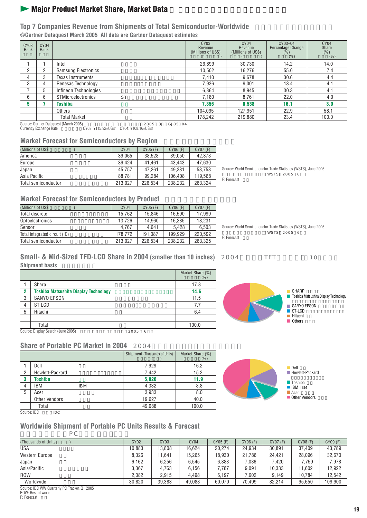## **Major Product Market Share, Market Data**

#### **Top 7 Companies Revenue from Shipments of Total Semiconductor-Worldwide ©Gartner Dataquest March 2005 All data are Gartner Dataquest estimates**

| CY <sub>03</sub><br>Rank | CY04<br>Rank |                                 | CY <sub>03</sub><br>Revenue<br>(Millions of US\$) | CY <sub>04</sub><br>Revenue<br>(Millions of US\$) | CY03-04<br>Percentage Change<br>$($ %)<br>(% ) | CY <sub>04</sub><br>Share<br>(% )<br>(% ) |
|--------------------------|--------------|---------------------------------|---------------------------------------------------|---------------------------------------------------|------------------------------------------------|-------------------------------------------|
|                          |              | Intel                           | 26,899                                            | 30,730                                            | 14.2                                           | 14.0                                      |
| <sup>o</sup>             |              | <b>Samsung Electronics</b>      | 10,502                                            | 16.276                                            | 55.0                                           | 7.4                                       |
| 4                        | 3            | <b>Texas Instruments</b>        | 7.410                                             | 9.678                                             | 30.6                                           | 4.4                                       |
| 3                        |              | Renesas Technology              | 7,936                                             | 9.001                                             | 13.4                                           | 4.1                                       |
|                          | 5            | Infineon Technologies           | 6.864                                             | 8.945                                             | 30.3                                           | 4.1                                       |
| 6                        | 6            | <b>STMicroelectronics</b><br>ST | 7,180                                             | 8.761                                             | 22.0                                           | 4.0                                       |
| 5                        |              | Toshiba                         | 7,356                                             | 8,538                                             | 16.1                                           | 3.9                                       |
|                          |              | Others                          | 104.095                                           | 127,951                                           | 22.9                                           | 58.1                                      |
|                          |              | <b>Total Market</b>             | 178.242                                           | 219,880                                           | 23.4                                           | 100.0                                     |

Source: Gartner Dataquest (March 2005) 出典:ガートナー データクエスト 2005年3月) GJ05104 Currency Exchange Rate 為替レート:CY03: ¥115.92=US\$1 CY04: ¥108.16=US\$1

#### **Market Forecast for Semiconductors by Region**

| (Millions of US\$   | CY <sub>04</sub> | CY05 (F) | CY06 (F) | CY07 (F) |
|---------------------|------------------|----------|----------|----------|
| America             | 39.065           | 38.528   | 39.050   | 42,373   |
| Europe              | 39.424           | 41.461   | 43.443   | 47.630   |
| Japan               | 45.757           | 47.261   | 49.331   | 53.753   |
| Asia Pacific        | 88.781           | 99.284   | 106.408  | 119,568  |
| Total semiconductor | 213.027          | 226.534  | 238.232  | 263.324  |

Source: World Semiconductor Trade Statistics (WSTS), June 2005 WSTS 2005 6 F: Forecast

#### **Market Forecast for Semiconductors by Product**

| (Millions of US\$             | CY04    | CY05 (F) | CY06 (F) | CY07 (F) |
|-------------------------------|---------|----------|----------|----------|
| Total discrete                | 15.762  | 15.846   | 16.590   | 17.999   |
| Optoelectronics               | 13.726  | 14.960   | 16.285   | 18.231   |
| Sensor                        | 4.767   | 4.641    | 5.428    | 6.503    |
| Total integrated circuit (IC) | 178.772 | 191.087  | 199.929  | 220.592  |
| Total semiconductor           | 213.027 | 226.534  | 238.232  | 263.325  |

Source: World Semiconductor Trade Statistics (WSTS), June 2005 出典:世界半導体市場統計(WSTS)2005年6月) F: Forecast

#### **Small- & Mid-Sized TFD-LCD Share in 2004 (smaller than 10 inches)** 2004 TFT 10 10 **Shipment basis**

|                |                                              |           | Market Share (%)<br>(% ) |
|----------------|----------------------------------------------|-----------|--------------------------|
|                | Sharp                                        |           | 17.8                     |
| $\overline{2}$ | <b>Toshiba Matsushita Display Technology</b> | 14.6      |                          |
| 3              | <b>SANYO EPSON</b>                           |           | 11.5                     |
| $\overline{4}$ | ST-LCD                                       |           | 7.7                      |
| 5              | Hitachi                                      |           | 6.4                      |
|                |                                              |           |                          |
|                | Total                                        |           | 100.0                    |
|                | Source: Display Search (June 2005)           | 2005<br>6 |                          |



■ Others

#### **Share of Portable PC Market in 2004** 2004

|                |                      | Shipment (Thousands of Units) | Market Share (%)<br>$(\%)$ |
|----------------|----------------------|-------------------------------|----------------------------|
|                | Dell                 | 7,929                         | 16.2                       |
| $\overline{2}$ | Hewlett-Packard      | 7.442                         | 15.2                       |
| 3              | <b>Toshiba</b>       | 5,826                         | 11.9                       |
| 4              | IBM<br>IB M          | 4,332                         | 8.8                        |
| 5              | Acer                 | 3,933                         | 8.0                        |
|                | <b>Other Vendors</b> | 19.627                        | 40.0                       |
|                | Total                | 49,088                        | 100.0                      |



Source: IDC IDC

# **Worldwide Shipment of Portable PC Units Results & Forecast**

| РC                                            |             |                  |        |          |          |          |          |          |
|-----------------------------------------------|-------------|------------------|--------|----------|----------|----------|----------|----------|
| (Thousands of Units)                          | <b>CY02</b> | CY <sub>03</sub> | CY04   | CY05 (F) | CY06 (F) | CY07 (F) | CY08 (F) | CY09 (F) |
| <b>USA</b>                                    | 10.883      | 13.808           | 16.624 | 20.274   | 24.934   | 30.891   | 37.409   | 43.789   |
| <b>Western Europe</b>                         | 8.326       | 11.641           | 15,265 | 18.930   | 21.786   | 24.421   | 28.096   | 32,670   |
| Japan                                         | 6.162       | 6.256            | 6.545  | 6.883    | 7.086    | 7.420    | 7.759    | 7,978    |
| Asia/Pacific                                  | 3.367       | 4.763            | 6.156  | 7.787    | 9.091    | 10.333   | 11.602   | 12,922   |
| <b>ROW</b>                                    | 2.082       | 2.915            | 4.498  | 6.197    | 7.602    | 9.149    | 10.784   | 12.542   |
| Worldwide                                     | 30,820      | 39,383           | 49,088 | 60,070   | 70,499   | 82,214   | 95,650   | 109,900  |
| Coursey JDC MMJ Overtexly DC Tracker, Of 2005 |             |                  |        |          |          |          |          |          |

terly PC Tracker, Q1 2005 ROW: Rest of world

F: Forecast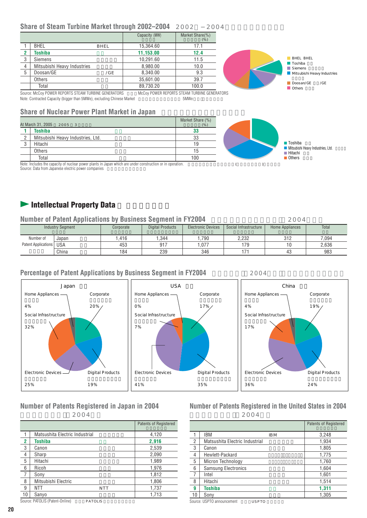#### **Share of Steam Turbine Market through 2002-2004** 2002 2004

|    |                                                      | Capacity (MW) | Market Share(%)<br>$(\%)$                     |                             |
|----|------------------------------------------------------|---------------|-----------------------------------------------|-----------------------------|
|    | <b>BHEL</b><br>BHEL                                  | 15.364.60     | 17.1                                          |                             |
|    | Toshiba                                              | 11.153.00     | 12.4                                          |                             |
| ۰J | <b>Siemens</b>                                       | 10.291.60     | 11.5                                          | <b>BHEL BHEL</b>            |
| 4  | Mitsubishi Heavy Industries                          | 8.980.00      | 10.0                                          | Toshiba<br>Siemens          |
| 5  | Doosan/GE<br>/G E                                    | 8.340.00      | 9.3                                           | Mitsubishi Heavy Industries |
|    | Others                                               | 35.601.00     | 39.7                                          |                             |
|    | Total                                                | 89.730.20     | 100.0                                         | Doosan/GE<br>/GE<br>Others  |
|    | Course: McCou BOWER RERORTS STEAM TURBINE SENERATORS |               | McCou DOMED DEDODTO OTEAM THODIME OF MEDATORO |                             |

Source: McCoy POWER REPORTS STEAM TURBINE GENERATORS MCCoy POWER REPORTS STEAM TURBINE GENERATORS<br>Note: Contracted Capacity (bigger than 5MWe), excluding Chinese Market 50MWE Note: Contracted Capacity (bigger than 5MWe), excluding Chinese Market

**Share of Nuclear Power Plant Market in Japan** 

|                | At March 31, 2005<br>2005 3       | Market Share (%)<br>(% ) |
|----------------|-----------------------------------|--------------------------|
|                | <b>Toshiba</b>                    | 33                       |
| $\overline{2}$ | Mitsubishi Heavy Industries, Ltd. | 33                       |
| 3              | Hitachi                           | 19                       |
|                | Others                            | 15                       |
|                | Total                             | 100                      |

Toshiba Mitsubishi Heavy Industries, Ltd. Hitachi 日立 ■ Others **Output** 

Note: Includes the capacity of nuclear power plants in Japan which are under construction or in operation.  $($ Source: Data from Japanese electric power companies

## **Intellectual Property Data**

| <b>Number of Patent Applications by Business Segment in FY2004</b><br>2004 |                         |           |                         |                           |                       |                 |       |
|----------------------------------------------------------------------------|-------------------------|-----------|-------------------------|---------------------------|-----------------------|-----------------|-------|
|                                                                            | <b>Industry Segment</b> | Corporate | <b>Digital Products</b> | <b>Electronic Devices</b> | Social Infrastructure | Home Appliances | Total |
| Number of                                                                  | Japan                   | .416      | .344                    | ,790                      | 2.232                 | 312             | 7.094 |
| Patent Applications   USA                                                  |                         | 453       | 917                     | 1.077                     | 179                   | 10              | 2.636 |
|                                                                            | China                   | 184       | 239                     | 346                       | 171                   | 43              | 983   |

#### **Percentage of Patent Applications by Business Segment in FY2004** 2004



#### **Number of Patents Registered in Japan in 2004**

2004

|                |                                            | <b>Patents of Registered</b> |
|----------------|--------------------------------------------|------------------------------|
|                | Matsushita Electric Industrial             | 4,120                        |
| $\overline{2}$ | Toshiba                                    | 2,916                        |
| 3              | Canon                                      | 2,539                        |
| $\overline{4}$ | Sharp                                      | 2,090                        |
| 5              | Hitachi                                    | 1,989                        |
| 6              | Ricoh                                      | 1,976                        |
| $\overline{7}$ | Sony                                       | 1,812                        |
| 8              | Mitsubishi Electric                        | 1,806                        |
| 9              | <b>NTT</b><br>NTT                          | 1,737                        |
| 10             | Sanyo                                      | 1,713                        |
|                | Source: PATOLIS (Patent-Online)<br>PATOLIS |                              |

**Number of Patents Registered in the United States in 2004** 米国登録特許件数 2004年)

|                |                                |                 | <b>Patents of Registered</b> |
|----------------|--------------------------------|-----------------|------------------------------|
| 1              | IBM                            | IB <sub>M</sub> | 3,248                        |
| 2              | Matsushita Electric Industrial |                 | 1,934                        |
| 3              | Canon                          |                 | 1,805                        |
| $\overline{4}$ | Hewlett-Packard                |                 | 1,775                        |
| 5              | Micron Technology              |                 | 1,760                        |
| 6              | <b>Samsung Electronics</b>     |                 | 1,604                        |
| 7              | Intel                          |                 | 1,601                        |
| 8              | Hitachi                        |                 | 1,514                        |
| 9              | <b>Toshiba</b>                 |                 | 1,311                        |
| 10             | Sonv                           |                 | 1.305                        |

Source: USPTO announcement 11 SPTO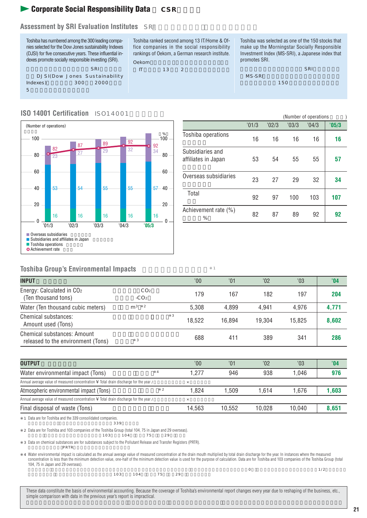## **Corporate Social Responsibility Data** CSR

#### **Assessment by SRI Evaluation Institutes** SRI



Toshiba ranked second among 13 IT/Home & Office companies in the social responsibility rankings of Oekom, a German research institute.

 $\mathsf{I}$  IT  $\mathsf{I}$  13  $\mathsf{I}$  2

Toshiba was selected as one of the 150 stocks that make up the Morningstar Socially Responsible Investment Index (MS-SRI), a Japanese index that promotes SRI.

モーニングスター社(日本)のSRI株価指数であ MS-SRI ) and the contract of  $150$ 

#### **ISO 14001 Certification** ISO14001



|                                         |       |       | (Number of operations) |      |       |  |
|-----------------------------------------|-------|-------|------------------------|------|-------|--|
|                                         | '01/3 | '02/3 | '03/3                  | 04/3 | '05/3 |  |
| Toshiba operations                      | 16    | 16    | 16                     | 16   | 16    |  |
| Subsidiaries and<br>affiliates in Japan | 53    | 54    | 55                     | 55   | 57    |  |
| Overseas subsidiaries                   | 23    | 27    | 29                     | 32   | 34    |  |
| Total                                   | 92    | 97    | 100                    | 103  | 107   |  |
| Achievement rate (%)<br>%               | 82    | 87    | 89                     | 92   | 92    |  |

#### **Toshiba Group's Environmental Impacts**

| <b>INPUT</b>                                                      |                           |   | 00'    | $^{\prime}01$ | '02    | '03    | '04   |
|-------------------------------------------------------------------|---------------------------|---|--------|---------------|--------|--------|-------|
| Energy: Calculated in CO2<br>(Ten thousand tons)                  | CO <sub>2</sub><br>$-CO2$ |   | 179    | 167           | 182    | 197    | 204   |
| Water (Ten thousand cubic meters)                                 | $m^3$ 2                   |   | 5.308  | 4.899         | 4.941  | 4.976  | 4,771 |
| Chemical substances:<br>Amount used (Tons)                        |                           | 3 | 18.522 | 16.894        | 19.304 | 15.825 | 8,602 |
| Chemical substances: Amount<br>released to the environment (Tons) | 3                         |   | 688    | 411           | 389    | 341    | 286   |

| <b>OUTPUT</b>                                                                         | 00'      | $^{\prime}01$ | $^{\prime}02$ | '03    | '04   |
|---------------------------------------------------------------------------------------|----------|---------------|---------------|--------|-------|
| Water environmental impact (Tons)                                                     | 1.277    | 946           | 938           | 1.046  | 976   |
| Annual average value of measured concentration ¥ Total drain discharge for the year / | $\times$ |               |               |        |       |
| Atmospheric environmental impact (Tons)                                               | 1.824    | 1.509         | 1.614         | 1.676  | 1.603 |
| Annual average value of measured concentration ¥ Total drain discharge for the year / | $\times$ |               |               |        |       |
| Final disposal of waste (Tons)                                                        | 14.563   | 10.552        | 10.028        | 10.040 | 8,651 |

※1 Data are for Toshiba and the 339 consolidated companies.

2 Data are for Toshiba and 103 companies of the Toshiba Group (total 104, 75 in Japan and 29 overseas).<br>103 104 75 29

 $\sim$  103 104 75 29

 $339$ 

※3 Data on chemical substances are for substances subject to the Pollutant Release and Transfer Registers (PRTR).  $\mathsf{PRTR}$ 

4 Water environmental impact is calculated as the annual average value of measured concentration at the drain mouth multiplied by total drain discharge for the year. In instances where the measured concentration is less than the minimum detection value, one-half of the minimum detection value is used for the purpose of calculation. Data are for Toshiba and 103 companies of the Toshiba Group (total 104, 75 in Japan and 29 overseas).

 $\frac{103}{103} = \frac{104}{75} = \frac{29}{75}$ 

 $\sim$  0  $\sim$  1/2

These data constitute the basis of environmental accounting. Because the coverage of Toshiba's environmental report changes every year due to reshaping of the business, etc., simple comparison with data in the previous year's report is impractical.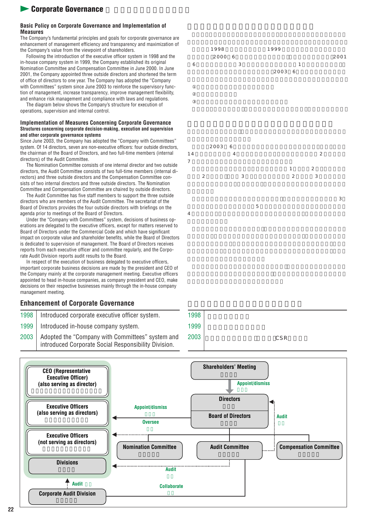## **12 Corporate Governance**

#### **Basic Policy on Corporate Governance and Implementation of Measures**

The Company's fundamental principles and goals for corporate governance are enhancement of management efficiency and transparency and maximization of the Company's value from the viewpoint of shareholders.

Following the introduction of the executive officer system in 1998 and the in-house company system in 1999, the Company established its original Nomination Committee and Compensation Committee in June 2000. In June 2001, the Company appointed three outside directors and shortened the term of office of directors to one year. The Company has adopted the "Company with Committees" system since June 2003 to reinforce the supervisory function of management, increase transparency, improve management flexibility, and enhance risk management and compliance with laws and regulations.

The diagram below shows the Company's structure for execution of operations, supervision and internal control.

#### **Implementation of Measures Concerning Corporate Governance Structures concerning corporate decision-making, execution and supervision and other corporate governance systems**

Since June 2003, the Company has adopted the "Company with Committees" system. Of 14 directors, seven are non-executive officers: four outside directors, the chairman of the Board of Directors, and two full-time members (internal directors) of the Audit Committee.

The Nomination Committee consists of one internal director and two outside directors, the Audit Committee consists of two full-time members (internal directors) and three outside directors and the Compensation Committee consists of two internal directors and three outside directors. The Nomination Committee and Compensation Committee are chaired by outside directors.

The Audit Committee has five staff members to support the three outside directors who are members of the Audit Committee. The secretariat of the Board of Directors provides the four outside directors with briefings on the agenda prior to meetings of the Board of Directors.

Under the "Company with Committees" system, decisions of business operations are delegated to the executive officers, except for matters reserved to Board of Directors under the Commercial Code and which have significant impact on corporate value and shareholder benefits, while the Board of Directors is dedicated to supervision of management. The Board of Directors receives reports from each executive officer and committee regularly, and the Corporate Audit Division reports audit results to the Board.

In respect of the execution of business delegated to executive officers, important corporate business decisions are made by the president and CEO of the Company mainly at the corporate management meeting. Executive officers appointed to head in-house companies, as company president and CEO, make decisions on their respective businesses mainly through the in-house company management meeting.

#### **Enhancement of Corporate Governance**

- 1998 | Introduced corporate executive officer system.
- 1999 | Introduced in-house company system.
- 2003 Adopted the "Company with Committees" system and introduced Corporate Social Responsibility Division.





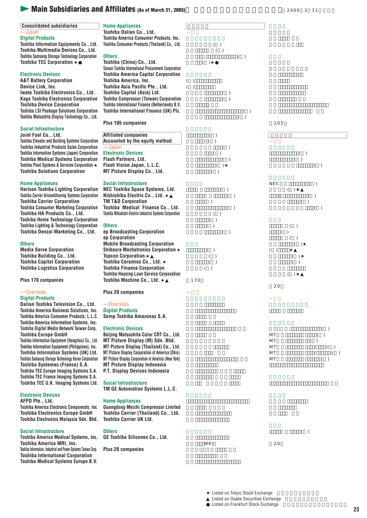## **Main Subsidiaries and Affiliates** (As of March 31, 2005)<br>2005 131

| <b>Consolidated subsidiaries</b><br>—Japan<br><b>Digital Products</b><br>Toshiba Information Equipments Co., Ltd.<br>Toshiba Multimedia Devices Co., Ltd.<br><b>Toshiba Samsung Storage Technology Corporation</b><br><b>Toshiba TEC Corporation</b><br><b>Electronic Devices</b><br><b>A&amp;T Battery Corporation</b><br>Device Link, Inc.<br>Iwate Toshiba Electronics Co., Ltd.<br><b>Kaga Toshiba Electronics Corporation</b><br><b>Toshiba Device Corporation</b><br><b>Toshiba LSI Package Solutions Corporation</b><br>Toshiba Matsushita Display Technology Co., Ltd. | <b>Home Appliances</b><br>Toshiba Dalian Co., Ltd.<br>Toshiba America Consumer Products, Inc.<br>Toshiba Consumer Products (Thailand) Co., Ltd.<br><b>Others</b><br>Toshiba (China) Co., Ltd.<br>Taiwan Toshiba International Procurement Corporation<br><b>Toshiba America Capital Corporation</b><br>Toshiba America, Inc.<br>Toshiba Asia Pacific Pte., Ltd.<br>Toshiba Capital (Asia) Ltd.<br><b>Toshiba Compressor (Taiwan) Corporation</b><br>Toshiba International Finance (Netherlands) B.V.<br>Toshiba International Finance (UK) Plc.<br>Plus 105 companies | ( )<br>( )<br>( )<br>( )<br>( )<br>( )<br>( )<br>( )<br>( )<br>( ) | 105                                                                                     |
|--------------------------------------------------------------------------------------------------------------------------------------------------------------------------------------------------------------------------------------------------------------------------------------------------------------------------------------------------------------------------------------------------------------------------------------------------------------------------------------------------------------------------------------------------------------------------------|-----------------------------------------------------------------------------------------------------------------------------------------------------------------------------------------------------------------------------------------------------------------------------------------------------------------------------------------------------------------------------------------------------------------------------------------------------------------------------------------------------------------------------------------------------------------------|--------------------------------------------------------------------|-----------------------------------------------------------------------------------------|
| <b>Social Infrastructure</b>                                                                                                                                                                                                                                                                                                                                                                                                                                                                                                                                                   |                                                                                                                                                                                                                                                                                                                                                                                                                                                                                                                                                                       |                                                                    |                                                                                         |
| Joint Fuel Co., Ltd.<br><b>Toshiba Elevator and Building Systems Corporation</b><br><b>Toshiba Industrial Products Sales Corporation</b><br><b>Toshiba Information Systems (Japan) Corporation</b><br><b>Toshiba Medical Systems Corporation</b><br><b>Toshiba Plant Systems &amp; Services Corporation</b><br><b>Toshiba Solutions Corporation</b>                                                                                                                                                                                                                            | <b>Affiliated companies</b><br>Accounted by the equity method<br>—Japan<br><b>Electronic Devices</b><br>Flash Partners, Ltd.<br>Flash Vision Japan, L.L.C.<br>MT Picture Display Co., Ltd.                                                                                                                                                                                                                                                                                                                                                                            | ( )<br>$-$ ( )<br>( )<br>( )<br>( )<br>( )<br>( )                  | ( )<br>( )<br>( )                                                                       |
| <b>Home Appliances</b><br><b>Harison Toshiba Lighting Corporation</b><br><b>Toshiba Carrier Airconditioning Systems Corporation</b><br><b>Toshiba Carrier Corporation</b><br><b>Toshiba Consumer Marketing Corporation</b><br>Toshiba HA Products Co., Ltd.<br><b>Toshiba Home Technology Corporation</b><br><b>Toshiba Lighting &amp; Technology Corporation</b><br>Toshiba Denzai Marketing Co., Ltd.<br><b>Others</b><br><b>Media Serve Corporation</b><br>Toshiba Building Co., Ltd.                                                                                       | <b>Social Infrastructure</b><br>NEC Toshiba Space Systems, Ltd.<br>Nishishiba Electric Co., Ltd.<br><b>TM T&amp;D Corporation</b><br>Toshiba Medical Finance Co., Ltd.<br>Toshiba Mitsubishi-Electric Industrial Systems Corporation<br><b>Others</b><br>ep Broadcasting Corporation<br>ep Corporation<br><b>Mobile Broadcasting Corporation</b><br><b>Shibaura Mechatronics Corporation</b><br><b>Topcon Corporation</b>                                                                                                                                             | ( )<br>( )<br>( )<br>( )<br>( )<br>( )<br>( )<br>( )<br>( )<br>( ) | <b>NEC</b><br>( )<br>( )<br>( )<br>( )<br>( )<br>( )<br>( )<br>( )<br>( )<br>( )<br>( ) |
| <b>Toshiba Capital Corporation</b><br><b>Toshiba Logistics Corporation</b>                                                                                                                                                                                                                                                                                                                                                                                                                                                                                                     | Toshiba Ceramics Co., Ltd.<br><b>Toshiba Finance Corporation</b>                                                                                                                                                                                                                                                                                                                                                                                                                                                                                                      | ( )<br>( )                                                         | ( )                                                                                     |
| Plus 170 companies                                                                                                                                                                                                                                                                                                                                                                                                                                                                                                                                                             | <b>Toshiba Housing Loan Service Corporation</b><br>Toshiba Machine Co., Ltd.                                                                                                                                                                                                                                                                                                                                                                                                                                                                                          | 170                                                                | ( )                                                                                     |
| -Overseas                                                                                                                                                                                                                                                                                                                                                                                                                                                                                                                                                                      | <b>Plus 20 companies</b>                                                                                                                                                                                                                                                                                                                                                                                                                                                                                                                                              |                                                                    | 20                                                                                      |
| <b>Digital Products</b><br>Dalian Toshiba Television Co., Ltd.<br>Toshiba America Business Solutions, Inc.<br>Toshiba America Consumer Products, L.L.C.<br><b>Toshiba America Information Systems, Inc.</b><br>Toshiba Digital Media Network Taiwan Corp.<br><b>Toshiba Europe GmbH</b>                                                                                                                                                                                                                                                                                        | -Overseas<br><b>Digital Products</b><br>Semp Toshiba Amazonas S.A.<br><b>Electronic Devices</b><br>Beijing Matsushita Color CRT Co., Ltd.                                                                                                                                                                                                                                                                                                                                                                                                                             |                                                                    | ( )<br>MT<br>( )                                                                        |
| Toshiba Information Equipment (Hangzhou) Co., Ltd.<br>Toshiba Information Equipment (Philippines), Inc.<br>Toshiba Information Systems (UK) Ltd.<br>Toshiba Samsung Storage Technology Korea Corporation<br>Toshiba Systemes (France) S.A.<br><b>Toshiba TEC Europe Imaging Systems S.A.</b><br>Toshiba TEC France Imaging Systems S.A.<br>Toshiba TEC U.K. Imaging Systems Ltd.                                                                                                                                                                                               | MT Picture Display (M) Sdn. Bhd.<br>MT Picture Display (Thailand) Co., Ltd.<br>MT Picture Display Corporation of America (Ohio)<br>MT Picture Display Corporation of America (New York)<br><b>MT Picture Display Indonesia</b><br>P.T. Display Devices Indonesia<br><b>Social Infrastructure</b>                                                                                                                                                                                                                                                                      |                                                                    | МT<br>( )<br>)( )<br>MT<br>(<br>MT<br>)( )<br>( )<br>MT                                 |
| <b>Electronic Devices</b><br>AFPD Pte., Ltd.<br>Toshiba America Electronic Components, Inc.<br><b>Toshiba Electronics Europe GmbH</b><br>Toshiba Electronics Malaysia Sdn. Bhd.                                                                                                                                                                                                                                                                                                                                                                                                | TM GE Automation Systems L.L.C.<br><b>Home Appliances</b><br><b>Guangdong Meizhi Compressor Limited</b><br>Toshiba Carrier (Thailand) Co., Ltd.<br><b>Toshiba Carrier UK Ltd.</b>                                                                                                                                                                                                                                                                                                                                                                                     |                                                                    |                                                                                         |
| <b>Social Infrastructure</b><br>Toshiba America Medical Systems, Inc.<br>Toshiba America MRI, Inc.<br>Toshiba Information, Industrial and Power Systems Taiwan Corp.                                                                                                                                                                                                                                                                                                                                                                                                           | <b>Others</b><br>GE Toshiba Silicones Co., Ltd.<br><b>Plus 20 companies</b>                                                                                                                                                                                                                                                                                                                                                                                                                                                                                           | <b>MRI</b>                                                         | ( )<br>20                                                                               |

**Toshiba Information, Industrial and Power Systems Taiwan Corp. Toshiba International Corporation Toshiba Medical Systems Europe B.V.**

> Listed on Tokyo Stock Exchange Listed on Osaka Securities Exchange Listed on Frankfurt Stock Exchange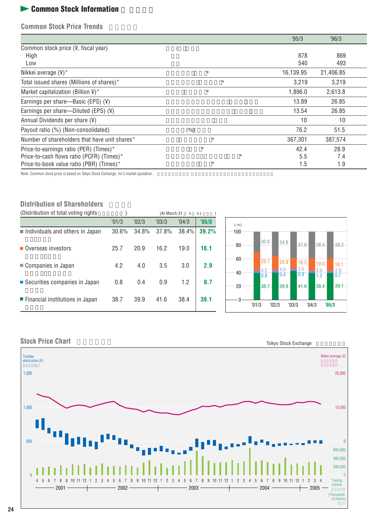## **Learning Stock Information**

**Common Stock Price Trends** 

|                                                 |         | '95/3     | '96/3     |  |
|-------------------------------------------------|---------|-----------|-----------|--|
| Common stock price $(Y,$ fiscal year)           |         |           |           |  |
| High                                            |         | 878       | 869       |  |
| Low                                             |         | 540       | 493       |  |
| Nikkei average $(Y)^*$                          | $\star$ | 16,139.95 | 21,406.85 |  |
| Total issued shares (Millions of shares)*       | $\star$ | 3.219     | 3,219     |  |
| Market capitalization (Billion $\frac{1}{2}$ )* | $\star$ | 1,896.0   | 2,613.8   |  |
| Earnings per share—Basic (EPS) $(4)$            |         | 13.89     | 26.85     |  |
| Earnings per share—Diluted (EPS) $(4)$          |         | 13.54     | 26.85     |  |
| Annual Dividends per share $(\frac{1}{2})$      |         | 10        | 10        |  |
| Payout ratio (%) (Non-consolidated)             | (% )    | 76.2      | 51.5      |  |
| Number of shareholders that have unit shares*   | $\star$ | 367,301   | 387,574   |  |
| Price-to-earnings ratio (PER) (Times)*          | $\star$ | 42.4      | 28.9      |  |
| Price-to-cash flows ratio (PCFR) (Times)*       | $\star$ | 5.5       | 7.4       |  |
| Price-to-book value ratio (PBR) (Times)*        | $\star$ | 1.5       | 1.9       |  |

Note: Common stock price is based on Tokyo Stock Exchange, Inc's market quotation.

#### **Distribution of Shareholders**

| (Distribution of total voting rights)          |       |       | (At March 31<br>$\mathcal{R}$ |       | 31    |
|------------------------------------------------|-------|-------|-------------------------------|-------|-------|
|                                                | '01/3 | '02/3 | '03/3                         | '04/3 | '05/3 |
| Individuals and others in Japan                | 30.6% | 34.8% | 37.8%                         | 38.4% | 39.2% |
| Overseas investors                             | 25.7  | 20.9  | 16.2                          | 19.0  | 18.1  |
| Companies in Japan                             | 4.2   | 4.0   | 3.5                           | 3.0   | 2.9   |
| ■ Securities companies in Japan                | 0.8   | 0.4   | 0.9                           | 1.2   | 0.7   |
| $\blacksquare$ Financial institutions in Japan | 38.7  | 39.9  | 41.6                          | 38.4  | 39.1  |





**Stock Price Chart**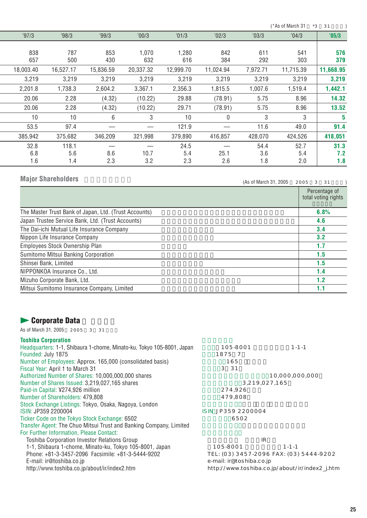$(*As of March 31 *3 31 )$ 

| '97/3     | '98/3     | '99/3     | '00/3     | '01/3     | '02/3        | '03/3    | '04/3     | '05/3     |
|-----------|-----------|-----------|-----------|-----------|--------------|----------|-----------|-----------|
|           |           |           |           |           |              |          |           |           |
| 838       | 787       | 853       | 1.070     | 1.280     | 842          | 611      | 541       | 576       |
| 657       | 500       | 430       | 632       | 616       | 384          | 292      | 303       | 379       |
| 18,003.40 | 16,527.17 | 15,836.59 | 20,337.32 | 12,999.70 | 11,024.94    | 7,972.71 | 11,715.39 | 11,668.95 |
| 3,219     | 3,219     | 3,219     | 3,219     | 3,219     | 3,219        | 3,219    | 3,219     | 3,219     |
| 2,201.8   | 1,738.3   | 2,604.2   | 3.367.1   | 2,356.3   | 1,815.5      | 1,007.6  | 1,519.4   | 1,442.1   |
| 20.06     | 2.28      | (4.32)    | (10.22)   | 29.88     | (78.91)      | 5.75     | 8.96      | 14.32     |
| 20.06     | 2.28      | (4.32)    | (10.22)   | 29.71     | (78.91)      | 5.75     | 8.96      | 13.52     |
| 10        | 10        | 6         | 3         | 10        | $\mathbf{0}$ | 3        | 3         | 5         |
| 53.5      | 97.4      |           |           | 121.9     |              | 11.6     | 49.0      | 91.4      |
| 385,942   | 375,682   | 346,209   | 321,998   | 379,890   | 416,857      | 428,070  | 424,526   | 418,051   |
| 32.8      | 118.1     |           |           | 24.5      |              | 54.4     | 52.7      | 31.3      |
| 6.8       | 5.6       | 8.6       | 10.7      | 5.4       | 25.1         | 3.6      | 5.4       | 7.2       |
| 1.6       | 1.4       | 2.3       | 3.2       | 2.3       | 2.6          | 1.8      | 2.0       | 1.8       |

## **Major Shareholders**

 $(As of March 31, 2005 2005 3 31 )$ 

|                                                       | Percentage of<br>total voting rights |
|-------------------------------------------------------|--------------------------------------|
| The Master Trust Bank of Japan, Ltd. (Trust Accounts) | 6.8%                                 |
| Japan Trustee Service Bank, Ltd. (Trust Accounts)     | 4.6                                  |
| The Dai-ichi Mutual Life Insurance Company            | 3.4                                  |
| Nippon Life Insurance Company                         | 3.2                                  |
| Employees Stock Ownership Plan                        | 1.7                                  |
| Sumitomo Mitsui Banking Corporation                   | 1.5                                  |
| Shinsei Bank, Limited                                 | 1.5                                  |
| NIPPONKOA Insurance Co., Ltd.                         | 1.4                                  |
| Mizuho Corporate Bank, Ltd.                           | 1.2                                  |
| Mitsui Sumitomo Insurance Company, Limited            | 1.1                                  |

## **Leader Corporate Data**

As of March 31, 2005 2005 3 31

#### **Toshiba Corporation**

| Headquarters: 1-1, Shibaura 1-chome, Minato-ku, Tokyo 105-8001, Japan | 105-8001                 | $1 - 1 - 1$                                    |
|-----------------------------------------------------------------------|--------------------------|------------------------------------------------|
| Founded: July 1875                                                    | 1875 7                   |                                                |
| Number of Employees: Approx. 165,000 (consolidated basis)             | 165                      |                                                |
| Fiscal Year: April 1 to March 31                                      | 3 3 1                    |                                                |
| Authorized Number of Shares: 10,000,000,000 shares                    |                          | 10.000.000.000                                 |
| Number of Shares Issued: 3,219,027,165 shares                         |                          | 3,219,027,165                                  |
| Paid-in Capital: ¥274.926 million                                     | 274,926                  |                                                |
| Number of Shareholders: 479,808                                       | 479,808                  |                                                |
| Stock Exchange Listings: Tokyo, Osaka, Nagoya, London                 |                          |                                                |
| ISIN: JP359 2200004                                                   | ISIN JP359 2200004       |                                                |
| Ticker Code on the Tokyo Stock Exchange: 6502                         | 6502                     |                                                |
| Transfer Agent: The Chuo Mitsui Trust and Banking Company, Limited    |                          |                                                |
| For Further Information, Please Contact:                              |                          |                                                |
| Toshiba Corporation Investor Relations Group                          |                          | IR                                             |
| 1-1, Shibaura 1-chome, Minato-ku, Tokyo 105-8001, Japan               | 105-8001                 | $1 - 1 - 1$                                    |
| Phone: +81-3-3457-2096 Facsimile: +81-3-5444-9202                     |                          | TEL: (03) 3457-2096 FAX: (03) 5444-9202        |
| E-mail: ir@toshiba.co.jp                                              | e-mail: ir@toshiba.co.jp |                                                |
| http://www.toshiba.co.jp/about/ir/index2.htm                          |                          | http://www.toshiba.co.jp/about/ir/index2_j.htm |
|                                                                       |                          |                                                |